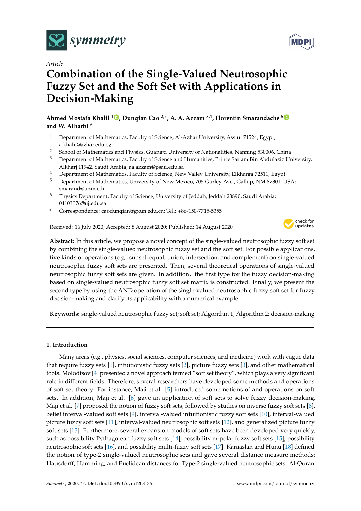



# **Combination of the Single-Valued Neutrosophic Fuzzy Set and the Soft Set with Applications in Decision-Making**

**Ahmed Mostafa Khalil <sup>1</sup> [,](https://orcid.org/0000-0001-8553-2054) Dunqian Cao 2,\*, A. A. Azzam 3,4, Florentin Smarandache [5](https://orcid.org/0000-0002-5560-5926) and W. Alharbi <sup>6</sup>**

- <sup>1</sup> Department of Mathematics, Faculty of Science, Al-Azhar University, Assiut 71524, Egypt; a.khalil@azhar.edu.eg
- <sup>2</sup> School of Mathematics and Physics, Guangxi University of Nationalities, Nanning 530006, China
- <sup>3</sup> Department of Mathematics, Faculty of Science and Humanities, Prince Sattam Bin Abdulaziz University, Alkharj 11942, Saudi Arabia; aa.azzam@psau.edu.sa
- <sup>4</sup> Department of Mathematics, Faculty of Science, New Valley University, Elkharga 72511, Egypt
- <sup>5</sup> Department of Mathematics, University of New Mexico, 705 Gurley Ave., Gallup, NM 87301, USA; smarand@unm.edu
- <sup>6</sup> Physics Department, Faculty of Science, University of Jeddah, Jeddah 23890, Saudi Arabia; 04103076@uj.edu.sa
- **\*** Correspondence: caodunqian@gxun.edu.cn; Tel.: +86-150-7715-5355

Received: 16 July 2020; Accepted: 8 August 2020; Published: 14 August 2020



**Abstract:** In this article, we propose a novel concept of the single-valued neutrosophic fuzzy soft set by combining the single-valued neutrosophic fuzzy set and the soft set. For possible applications, five kinds of operations (e.g., subset, equal, union, intersection, and complement) on single-valued neutrosophic fuzzy soft sets are presented. Then, several theoretical operations of single-valued neutrosophic fuzzy soft sets are given. In addition, the first type for the fuzzy decision-making based on single-valued neutrosophic fuzzy soft set matrix is constructed. Finally, we present the second type by using the AND operation of the single-valued neutrosophic fuzzy soft set for fuzzy decision-making and clarify its applicability with a numerical example.

**Keywords:** single-valued neutrosophic fuzzy set; soft set; Algorithm 1; Algorithm 2; decision-making

# **1. Introduction**

Many areas (e.g., physics, social sciences, computer sciences, and medicine) work with vague data that require fuzzy sets [\[1\]](#page-15-0), intuitionistic fuzzy sets [\[2\]](#page-15-1), picture fuzzy sets [\[3\]](#page-15-2), and other mathematical tools. Molodtsov [\[4\]](#page-15-3) presented a novel approach termed "soft set theory", which plays a very significant role in different fields. Therefore, several researchers have developed some methods and operations of soft set theory. For instance, Maji et al. [\[5\]](#page-15-4) introduced some notions of and operations on soft sets. In addition, Maji et al. [\[6\]](#page-15-5) gave an application of soft sets to solve fuzzy decision-making. Maji et al. [\[7\]](#page-15-6) proposed the notion of fuzzy soft sets, followed by studies on inverse fuzzy soft sets [\[8\]](#page-15-7), belief interval-valued soft sets [\[9\]](#page-15-8), interval-valued intuitionistic fuzzy soft sets [\[10\]](#page-16-0), interval-valued picture fuzzy soft sets [\[11\]](#page-16-1), interval-valued neutrosophic soft sets [\[12\]](#page-16-2), and generalized picture fuzzy soft sets [\[13\]](#page-16-3). Furthermore, several expansion models of soft sets have been developed very quickly, such as possibility Pythagorean fuzzy soft sets [\[14\]](#page-16-4), possibility m-polar fuzzy soft sets [\[15\]](#page-16-5), possibility neutrosophic soft sets [\[16\]](#page-16-6), and possibility multi-fuzzy soft sets [\[17\]](#page-16-7). Karaaslan and Hunu [\[18\]](#page-16-8) defined the notion of type-2 single-valued neutrosophic sets and gave several distance measure methods: Hausdorff, Hamming, and Euclidean distances for Type-2 single-valued neutrosophic sets. Al-Quran

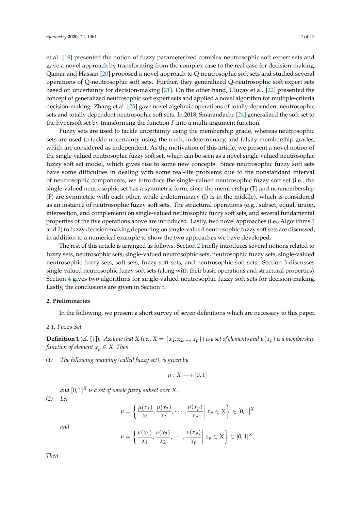et al. [\[19\]](#page-16-9) presented the notion of fuzzy parameterized complex neutrosophic soft expert sets and gave a novel approach by transforming from the complex case to the real case for decision-making. Qamar and Hassan [\[20\]](#page-16-10) proposed a novel approach to Q-neutrosophic soft sets and studied several operations of Q-neutrosophic soft sets. Further, they generalized Q-neutrosophic soft expert sets based on uncertainty for decision-making [\[21\]](#page-16-11). On the other hand, Uluçay et al. [\[22\]](#page-16-12) presented the concept of generalized neutrosophic soft expert sets and applied a novel algorithm for multiple-criteria decision-making. Zhang et al. [\[23\]](#page-16-13) gave novel algebraic operations of totally dependent neutrosophic sets and totally dependent neutrosophic soft sets. In 2018, Smarandache [\[24\]](#page-16-14) generalized the soft set to the hypersoft set by transforming the function *F* into a multi-argument function.

Fuzzy sets are used to tackle uncertainty using the membership grade, whereas neutrosophic sets are used to tackle uncertainty using the truth, indeterminacy, and falsity membership grades, which are considered as independent. As the motivation of this article, we present a novel notion of the single-valued neutrosophic fuzzy soft set, which can be seen as a novel single-valued neutrosophic fuzzy soft set model, which gives rise to some new concepts. Since neutrosophic fuzzy soft sets have some difficulties in dealing with some real-life problems due to the nonstandard interval of neutrosophic components, we introduce the single-valued neutrosophic fuzzy soft set (i.e., the single-valued neutrosophic set has a symmetric form, since the membership (T) and nonmembership (F) are symmetric with each other, while indeterminacy (I) is in the middle), which is considered as an instance of neutrosophic fuzzy soft sets. The structural operations (e.g., subset, equal, union, intersection, and complement) on single-valued neutrosophic fuzzy soft sets, and several fundamental properties of the five operations above are introduced. Lastly, two novel approaches (i.e., Algorithms [1](#page-9-0) and [2\)](#page-11-0) to fuzzy decision-making depending on single-valued neutrosophic fuzzy soft sets are discussed, in addition to a numerical example to show the two approaches we have developed.

The rest of this article is arranged as follows. Section [2](#page-1-0) briefly introduces several notions related to fuzzy sets, neutrosophic sets, single-valued neutrosophic sets, neutrosophic fuzzy sets, single-valued neutrosophic fuzzy sets, soft sets, fuzzy soft sets, and neutrosophic soft sets. Section [3](#page-4-0) discusses single-valued neutrosophic fuzzy soft sets (along with their basic operations and structural properties). Section [4](#page-9-1) gives two algorithms for single-valued neutrosophic fuzzy soft sets for decision-making. Lastly, the conclusions are given in Section [5.](#page-15-9)

## <span id="page-1-0"></span>**2. Preliminaries**

In the following, we present a short survey of seven definitions which are necessary to this paper.

#### *2.1. Fuzzy Set*

**Definition 1** (cf. [\[1\]](#page-15-0)). Assume that *X* (i.e., *X* = { $x_1, x_2, ..., x_p$ } is a set of elements and  $\mu(x_p)$  is a membership *function of element*  $x_p \in X$ . *Then* 

*(1) The following mapping (called fuzzy set), is given by*

$$
\mu:X\longrightarrow[0,1]
$$

*and* [0, 1] *<sup>X</sup> is a set of whole fuzzy subset over X*. *(2) Let*

$$
\mu = \left\{ \frac{\mu(x_1)}{x_1}, \frac{\mu(x_2)}{x_2}, \cdots, \frac{\mu(x_p)}{x_p} \middle| x_p \in X \right\} \in [0, 1]^X
$$

*and*

$$
\nu = \left\{ \frac{\nu(x_1)}{x_1}, \frac{\nu(x_2)}{x_2}, \cdots, \frac{\nu(x_p)}{x_p} \middle| x_p \in X \right\} \in [0,1]^X.
$$

*Then*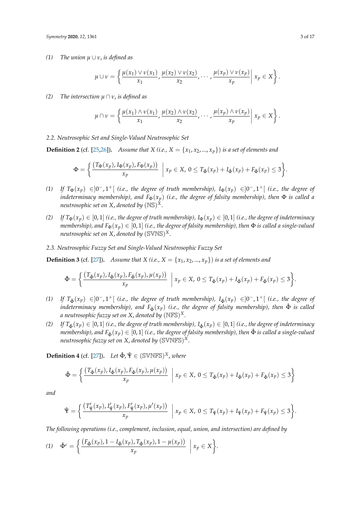*(1) The union µ* ∪ *ν*, *is defined as*

$$
\mu \cup \nu = \left\{ \frac{\mu(x_1) \vee \nu(x_1)}{x_1}, \frac{\mu(x_2) \vee \nu(x_2)}{x_2}, \cdots, \frac{\mu(x_p) \vee \nu(x_p)}{x_p} \middle| x_p \in X \right\}.
$$

*(2) The intersection µ* ∩ *ν*, *is defined as*

$$
\mu \cap \nu = \left\{ \frac{\mu(x_1) \wedge \nu(x_1)}{x_1}, \frac{\mu(x_2) \wedge \nu(x_2)}{x_2}, \cdots, \frac{\mu(x_p) \wedge \nu(x_p)}{x_p} \middle| x_p \in X \right\}.
$$

*2.2. Neutrosophic Set and Single-Valued Neutrosophic Set*

**Definition 2** (cf. [\[25](#page-16-15)[,26\]](#page-16-16)). *Assume that X (i.e., X = {* $x_1, x_2, ..., x_p$ *}) is a set of elements and* 

$$
\Phi = \left\{ \frac{\left(T_{\Phi}(x_p), I_{\Phi}(x_p), F_{\Phi}(x_p)\right)}{x_p} \middle| x_p \in X, 0 \leq T_{\hat{\Phi}}(x_p) + I_{\hat{\Phi}}(x_p) + F_{\hat{\Phi}}(x_p) \leq 3 \right\}.
$$

- *(1)* If  $T_{\Phi}(x_p) \in ]0^-, 1^+[$  *(i.e., the degree of truth membership),*  $I_{\Phi}(x_p) \in ]0^-, 1^+[$  *(i.e., the degree of indeterminacy membership), and*  $F_{\Phi}(x_p)$  *(i.e., the degree of falsity membership), then*  $\Phi$  *is called a neutrosophic set on X*, *denoted by* (NS) *X*.
- *(2)* If  $T_{\Phi}(x_p) \in [0,1]$  *(i.e., the degree of truth membership),*  $I_{\Phi}(x_p) \in [0,1]$  *(i.e., the degree of indeterminacy membership), and*  $F_{\Phi}(x_p) \in [0,1]$  *(i.e., the degree of falsity membership), then*  $\Phi$  *is called a single-valued neutrosophic set on X*, *denoted by* (SVNS) *X*.
- *2.3. Neutrosophic Fuzzy Set and Single-Valued Neutrosophic Fuzzy Set*

**Definition 3** (cf. [\[27\]](#page-16-17)). *Assume that X (i.e., X = {* $x_1, x_2, ..., x_p$ *}) is a set of elements and* 

$$
\hat{\Phi} = \left\{ \frac{\left(T_{\hat{\Phi}}(x_p), I_{\hat{\Phi}}(x_p), F_{\hat{\Phi}}(x_p), \mu(x_p)\right)}{x_p} \middle| x_p \in X, 0 \leq T_{\hat{\Phi}}(x_p) + I_{\hat{\Phi}}(x_p) + F_{\hat{\Phi}}(x_p) \leq 3 \right\}.
$$

- *(1)* If  $T_{\hat{\Phi}}(x_p)$  ∈  $]0^-$ ,  $1^+$ [ *(i.e., the degree of truth membership),*  $I_{\hat{\Phi}}(x_p)$  ∈  $]0^-$ ,  $1^+$ [ *(i.e., the degree of indeterminacy membership), and*  $F_{\hat{\Phi}}(x_p)$  *(i.e., the degree of falsity membership), then*  $\hat{\Phi}$  *is called a neutrosophic fuzzy set on X*, *denoted by* (NFS) *X.*
- *(2)* If  $T_{\hat{\Phi}}(x_p) \in [0,1]$  *(i.e., the degree of truth membership),*  $I_{\hat{\Phi}}(x_p) \in [0,1]$  *(i.e., the degree of indeterminacy membership), and*  $F_{\hat{\Phi}}(x_p) \in [0,1]$  *(i.e., the degree of falsity membership), then*  $\hat{\Phi}$  *is called a single-valued neutrosophic fuzzy set on X*, *denoted by* (SVNFS) *X*.

**Definition 4** (cf. [\[27\]](#page-16-17)). *Let*  $\hat{\Phi}$ ,  $\hat{\Psi} \in (\mathbb{SWNFS})^X$ , where

$$
\hat{\Phi} = \left\{ \frac{\left(T_{\hat{\Phi}}(x_p), I_{\hat{\Phi}}(x_p), F_{\hat{\Phi}}(x_p), \mu(x_p)\right)}{x_p} \middle| x_p \in X, 0 \le T_{\hat{\Phi}}(x_p) + I_{\hat{\Phi}}(x_p) + F_{\hat{\Phi}}(x_p) \le 3 \right\}
$$

*and*

$$
\hat{\Psi} = \bigg\{ \frac{\left(T'_{\hat{\Psi}}(x_p), I'_{\hat{\Psi}}(x_p), F'_{\hat{\Psi}}(x_p), \mu'(x_p)\right)}{x_p} \ \bigg| \ x_p \in X, \ 0 \leq T_{\hat{\Psi}}(x_p) + I_{\hat{\Psi}}(x_p) + F_{\hat{\Psi}}(x_p) \leq 3 \bigg\}.
$$

*The following operations (i.e., complement, inclusion, equal, union, and intersection) are defined by*

$$
(1) \quad \hat{\Phi}^c = \left\{ \frac{\left(F_{\hat{\Phi}}(x_p), 1 - I_{\hat{\Phi}}(x_p), T_{\hat{\Phi}}(x_p), 1 - \mu(x_p)\right)}{x_p} \middle| x_p \in X \right\}.
$$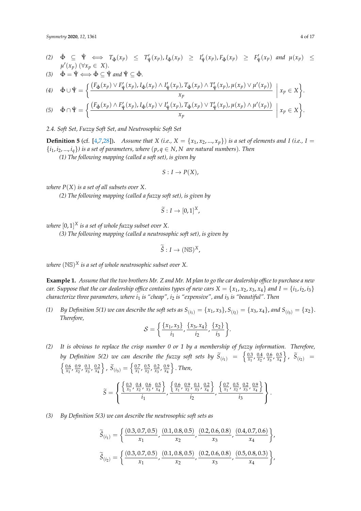*Symmetry* **2020**, *12*, 1361 4 of 17

(2) 
$$
\hat{\Phi} \subseteq \hat{\Psi} \iff T_{\hat{\Phi}}(x_p) \leq T'_{\hat{\Psi}}(x_p), I_{\hat{\Phi}}(x_p) \geq I'_{\hat{\Psi}}(x_p), F_{\hat{\Phi}}(x_p) \geq F'_{\hat{\Psi}}(x_p)
$$
 and  $\mu(x_p) \leq \mu'(x_p)$  ( $\forall x_p \in X$ ).

$$
(3) \quad \hat{\Phi} = \hat{\Psi} \Longleftrightarrow \hat{\Phi} \subseteq \hat{\Psi} \text{ and } \hat{\Psi} \subseteq \hat{\Phi}.
$$

$$
(4) \quad \hat{\Phi} \cup \hat{\Psi} = \left\{ \frac{\left(F_{\hat{\Phi}}(x_p) \vee F'_{\hat{\Psi}}(x_p), I_{\hat{\Phi}}(x_p) \wedge I'_{\hat{\Psi}}(x_p), T_{\hat{\Phi}}(x_p) \wedge T'_{\hat{\Psi}}(x_p), \mu(x_p) \vee \mu'(x_p)\right)}{x_p} \middle| x_p \in X \right\}.
$$
\n
$$
(5) \quad \hat{\Phi} \cap \hat{\Psi} = \left\{ \frac{\left(F_{\hat{\Phi}}(x_p) \wedge F'_{\hat{\Psi}}(x_p), I_{\hat{\Phi}}(x_p) \vee I'_{\hat{\Psi}}(x_p), T_{\hat{\Phi}}(x_p) \vee T'_{\hat{\Psi}}(x_p), \mu(x_p) \wedge \mu'(x_p)\right)}{x_p} \middle| x_p \in X \right\}.
$$

*2.4. Soft Set, Fuzzy Soft Set, and Neutrosophic Soft Set*

**Definition 5** (cf. [\[4](#page-15-3)[,7,](#page-15-6)[28\]](#page-16-18)). Assume that *X* (i.e., *X* = { $x_1$ ,  $x_2$ , ...,  $x_p$ }) is a set of elements and *I* (i.e., *I* =  $\{i_1, i_2, ..., i_q\}$  is a set of parameters, where  $(p, q \in N, N$  are natural numbers). Then

*xp*

*(1) The following mapping (called a soft set), is given by*

$$
S: I \to P(X),
$$

*where P*(*X*) *is a set of all subsets over X*.

*(2) The following mapping (called a fuzzy soft set), is given by*

$$
\widetilde{S}:I\to [0,1]^X,
$$

*where* [0, 1] *<sup>X</sup> is a set of whole fuzzy subset over X.*

*(3) The following mapping (called a neutrosophic soft set), is given by*

$$
\widetilde{\hat{S}}: I \to (\mathbb{NS})^X,
$$

*where* (NS) *<sup>X</sup> is a set of whole neutrosophic subset over X.*

**Example 1.** *Assume that the two brothers Mr. Z and Mr. M plan to go the car dealership office to purchase a new car.* Suppose that the car dealership office contains types of new cars  $X = \{x_1, x_2, x_3, x_4\}$  and  $I = \{i_1, i_2, i_3\}$ *characterize three parameters, where i*<sup>1</sup> *is "cheap", i*<sup>2</sup> *is "expensive", and i*<sup>3</sup> *is "beautiful". Then*

*(1)*  $By$  Definition 5(1) we can describe the soft sets as  $S_{(i_1)} = \{x_1, x_3\}$ ,  $S_{(i_2)} = \{x_3, x_4\}$ , and  $S_{(i_3)} = \{x_2\}$ . *Therefore,*

$$
S = \left\{ \frac{\{x_1, x_3\}}{i_1}, \frac{\{x_3, x_4\}}{i_2}, \frac{\{x_2\}}{i_3} \right\}.
$$

*(2) It is obvious to replace the crisp number 0 or 1 by a membership of fuzzy information. Therefore, by Definition 5(2) we can describe the fuzzy soft sets by*  $\widetilde{S}_{(i_1)} = \begin{cases} \frac{0.3}{x_1}, \frac{0.4}{x_2}, \frac{0.6}{x_3}, \frac{0.5}{x_4} \end{cases}$  $\Big\}$ *,*  $\widetilde{S}_{(i_2)}$  =  $\left\{\frac{0.6}{x_1}, \frac{0.9}{x_2}, \frac{0.1}{x_3}, \frac{0.2}{x_4}\right\}$  $\Big\}$ ,  $\widetilde{S}_{(i_3)} = \Big\{ \frac{0.7}{x_1}, \frac{0.5}{x_2}, \frac{0.2}{x_3}, \frac{0.9}{x_4} \Big\}$ o . *Then,*

$$
\widetilde{S} = \left\{ \frac{\left\{ \frac{0.3}{x_1}, \frac{0.4}{x_2}, \frac{0.6}{x_3}, \frac{0.5}{x_4} \right\}}{i_1}, \frac{\left\{ \frac{0.6}{x_1}, \frac{0.9}{x_2}, \frac{0.1}{x_3}, \frac{0.2}{x_4} \right\}}{i_2}, \frac{\left\{ \frac{0.7}{x_1}, \frac{0.5}{x_2}, \frac{0.2}{x_3}, \frac{0.9}{x_4} \right\}}{i_3} \right\}.
$$

*(3) By Definition 5(3) we can describe the neutrosophic soft sets as*

$$
\widetilde{\hat{S}}_{(i_1)} = \left\{ \frac{(0.3, 0.7, 0.5)}{x_1}, \frac{(0.1, 0.8, 0.5)}{x_2}, \frac{(0.2, 0.6, 0.8)}{x_3}, \frac{(0.4, 0.7, 0.6)}{x_4} \right\},\
$$

$$
\widetilde{\hat{S}}_{(i_2)} = \left\{ \frac{(0.3, 0.7, 0.5)}{x_1}, \frac{(0.1, 0.8, 0.5)}{x_2}, \frac{(0.2, 0.6, 0.8)}{x_3}, \frac{(0.5, 0.8, 0.3)}{x_4} \right\},\
$$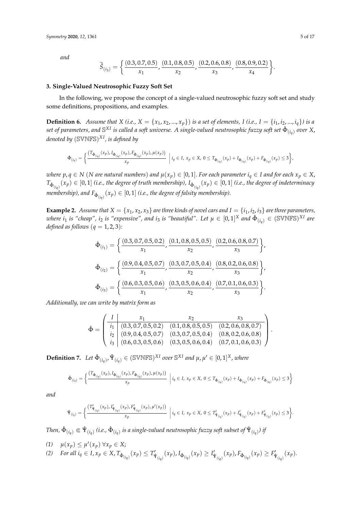*and*

$$
\widetilde{\hat{S}}_{(i_3)} = \left\{ \frac{(0.3, 0.7, 0.5)}{x_1}, \frac{(0.1, 0.8, 0.5)}{x_2}, \frac{(0.2, 0.6, 0.8)}{x_3}, \frac{(0.8, 0.9, 0.2)}{x_4} \right\}.
$$

## <span id="page-4-0"></span>**3. Single-Valued Neutrosophic Fuzzy Soft Set**

In the following, we propose the concept of a single-valued neutrosophic fuzzy soft set and study some definitions, propositions, and examples.

**Definition 6.** Assume that X (i.e.,  $X = \{x_1, x_2, ..., x_p\}$ ) is a set of elements, I (i.e.,  $I = \{i_1, i_2, ..., i_q\}$ ) is a  $s$ et of parameters, and  $\mathbb{S}^{XI}$  is called a soft universe. A single-valued neutrosophic fuzzy soft set  $\hat{\Phi}_{(i_q)}$  over  $X$ , *denoted by* (SVNFS) *X I, is defined by*

$$
\hat{\Phi}_{(i_q)} = \left\{ \frac{(T_{\hat{\Phi}_{(i_q)}}(x_p), I_{\hat{\Phi}_{(i_q)}}(x_p), F_{\hat{\Phi}_{(i_q)}}(x_p), \mu(x_p))}{x_p} \middle| i_q \in I, x_p \in X, 0 \leq T_{\hat{\Phi}_{(i_q)}}(x_p) + I_{\hat{\Phi}_{(i_q)}}(x_p) + F_{\hat{\Phi}_{(i_q)}}(x_p) \leq 3 \right\},\
$$

where  $p, q \in N$  (N are natural numbers) and  $\mu(x_p) \in [0, 1]$ . For each parameter  $i_q \in I$  and for each  $x_p \in X$ ,  $T_{\hat{\Phi}_{(i_q)}}(x_p)\in[0,1]$  (i.e., the degree of truth membership),  $I_{\hat{\Phi}_{(i_q)}}(x_p)\in[0,1]$  (i.e., the degree of indeterminacy  $p$  membership), and  $F_{\hat{\Phi}_{(iq)}}(x_p) \in [0,1]$  (i.e., the degree of falsity membership).

**Example 2.** Assume that  $X = \{x_1, x_2, x_3\}$  are three kinds of novel cars and  $I = \{i_1, i_2, i_3\}$  are three parameters, *where*  $i_1$  *is "cheap",*  $i_2$  *is "expensive", and*  $i_3$  *is "beautiful". Let*  $\mu \in [0,1]^X$  *and*  $\hat{\Phi}_{(i_q)} \in (\mathbb{SWNFS})^{XI}$  *are defined as follows*  $(q = 1, 2, 3)$ *:* 

$$
\hat{\Phi}_{(i_1)} = \left\{ \frac{(0.3, 0.7, 0.5, 0.2)}{x_1}, \frac{(0.1, 0.8, 0.5, 0.5)}{x_2}, \frac{(0.2, 0.6, 0.8, 0.7)}{x_3} \right\},\
$$

$$
\hat{\Phi}_{(i_2)} = \left\{ \frac{(0.9, 0.4, 0.5, 0.7)}{x_1}, \frac{(0.3, 0.7, 0.5, 0.4)}{x_2}, \frac{(0.8, 0.2, 0.6, 0.8)}{x_3} \right\},\
$$

$$
\hat{\Phi}_{(i_3)} = \left\{ \frac{(0.6, 0.3, 0.5, 0.6)}{x_1}, \frac{(0.3, 0.5, 0.6, 0.4)}{x_2}, \frac{(0.7, 0.1, 0.6, 0.3)}{x_3} \right\}.
$$

*Additionally, we can write by matrix form as*

$$
\hat{\Phi} = \begin{pmatrix}\nI & x_1 & x_2 & x_3 \\
i_1 & (0.3, 0.7, 0.5, 0.2) & (0.1, 0.8, 0.5, 0.5) & (0.2, 0.6, 0.8, 0.7) \\
i_2 & (0.9, 0.4, 0.5, 0.7) & (0.3, 0.7, 0.5, 0.4) & (0.8, 0.2, 0.6, 0.8) \\
i_3 & (0.6, 0.3, 0.5, 0.6) & (0.3, 0.5, 0.6, 0.4) & (0.7, 0.1, 0.6, 0.3)\n\end{pmatrix}
$$

.

**Definition 7.** Let  $\hat{\Phi}_{(i_q)}, \hat{\Psi}_{(i_q)} \in (\mathbb{SVMFS})^{XI}$  over  $\mathbb{S}^{XI}$  and  $\mu, \mu' \in [0, 1]^X$ , where

$$
\hat{\Phi}_{(i_q)} = \left\{ \frac{(T_{\hat{\Phi}_{(i_q)}}(x_p), I_{\hat{\Phi}_{(i_q)}}(x_p), F_{\hat{\Phi}_{(i_q)}}(x_p), \mu(x_p))}{x_p} \middle| i_q \in I, x_p \in X, 0 \le T_{\hat{\Phi}_{(i_q)}}(x_p) + I_{\hat{\Phi}_{(i_q)}}(x_p) + F_{\hat{\Phi}_{(i_q)}}(x_p) \le 3 \right\}
$$

*and*

$$
\hat{\Psi}_{(i_q)} = \bigg\{ \frac{\left(T'_{\hat{\Psi}_{(i_q)}}(x_p), I'_{\hat{\Psi}_{(i_q)}}(x_p), F'_{\hat{\Psi}_{(i_q)}}(x_p), \mu'(x_p)\right)}{x_p} \bigg| i_q \in I, \ x_p \in X, \ 0 \leq T'_{\hat{\Psi}_{(i_q)}}(x_p) + I'_{\hat{\Psi}_{(i_q)}}(x_p) + F'_{\hat{\Psi}_{(i_q)}}(x_p) \leq 3 \bigg\}.
$$

 $Then,  $\hat{\Phi}_{(i_q)}\Subset \hat{\Psi}_{(i_q)}$  (i.e.,  $\hat{\Phi}_{(i_q)}$  is a single-valued neutrosophic fuzzy soft subset of  $\hat{\Psi}_{(i_q)}$ ) if$ 

(1)  $\mu(x_p) \leq \mu'(x_p) \,\forall x_p \in X;$ (2) For all  $i_q \in I$ ,  $x_p \in X$ ,  $T_{\hat{\Phi}_{(i_q)}}(x_p) \leq T'_{\hat{\Psi}_{(i_q)}}(x_p)$ ,  $I_{\hat{\Phi}_{(i_q)}}(x_p) \geq I'_{\hat{\Psi}_{(i_q)}}(x_p)$ ,  $F_{\hat{\Phi}_{(i_q)}}(x_p) \geq F'_{\hat{\Psi}_{(i_q)}}(x_p)$ .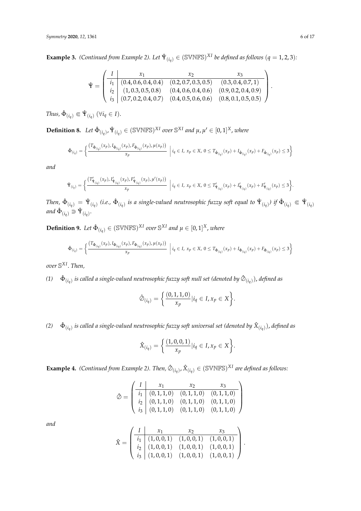**Example 3.** *(Continued from Example 2). Let*  $\hat{\Psi}_{(i_q)} \in (\text{SVMFS})^{XI}$  *be defined as follows*  $(q = 1, 2, 3)$ *:* 

$$
\hat{\Psi} = \begin{pmatrix}\nI & x_1 & x_2 & x_3 \\
i_1 & (0.4, 0.6, 0.4, 0.4) & (0.2, 0.7, 0.3, 0.5) & (0.3, 0.4, 0.7, 1) \\
i_2 & (1, 0.3, 0.5, 0.8) & (0.4, 0.6, 0.4, 0.6) & (0.9, 0.2, 0.4, 0.9) \\
i_3 & (0.7, 0.2, 0.4, 0.7) & (0.4, 0.5, 0.6, 0.6) & (0.8, 0.1, 0.5, 0.5)\n\end{pmatrix}
$$

 $Thus, \, \hat{\Phi}_{(i_q)} \in \hat{\Psi}_{(i_q)} \; (\forall i_q \in I).$ 

**Definition 8.** Let  $\hat{\Phi}_{(i_q)}, \hat{\Psi}_{(i_q)} \in (\mathbb{SVMFS})^{XI}$  over  $\mathbb{S}^{XI}$  and  $\mu, \mu' \in [0, 1]^X$ , where

$$
\hat{\Phi}_{(i_q)} = \left\{ \frac{(T_{\hat{\Phi}_{(i_q)}}(x_p), I_{\hat{\Phi}_{(i_q)}}(x_p), F_{\hat{\Phi}_{(i_q)}}(x_p), \mu(x_p))}{x_p} \middle| i_q \in I, x_p \in X, 0 \le T_{\hat{\Phi}_{(i_q)}}(x_p) + I_{\hat{\Phi}_{(i_q)}}(x_p) + F_{\hat{\Phi}_{(i_q)}}(x_p) \le 3 \right\}
$$

*and*

$$
\hat{\Psi}_{(i_q)} = \bigg\{ \frac{(T'_{\hat{\Psi}_{(i_q)}}(x_p), I'_{\hat{\Psi}_{(i_q)}}(x_p), F'_{\hat{\Psi}_{(i_q)}}(x_p), \mu'(x_p))}{x_p} \ \bigg| \ i_q \in I, \ x_p \in X, \ 0 \leq T'_{\hat{\Psi}_{(i_q)}}(x_p) + I'_{\hat{\Psi}_{(i_q)}}(x_p) + F'_{\hat{\Psi}_{(i_q)}}(x_p) \leq 3 \bigg\}.
$$

Then,  $\hat{\Phi}_{(i_q)} = \hat{\Psi}_{(i_q)}$  (i.e.,  $\hat{\Phi}_{(i_q)}$  is a single-valued neutrosophic fuzzy soft equal to  $\hat{\Psi}_{(i_q)}$ ) if  $\hat{\Phi}_{(i_q)} \Subset \hat{\Psi}_{(i_q)}$  $and \hat{\Phi}_{(i_q)} \supseteq \hat{\Psi}_{(i_q)}$ .

**Definition 9.** Let  $\hat{\Phi}_{(i_q)} \in (\mathbb{SWNFS})^{XI}$  over  $\mathbb{S}^{XI}$  and  $\mu \in [0,1]^X$ , where

$$
\hat{\Phi}_{(i_q)} = \left\{ \frac{(T_{\hat{\Phi}_{(i_q)}}(x_p), I_{\hat{\Phi}_{(i_q)}}(x_p), F_{\hat{\Phi}_{(i_q)}}(x_p), \mu(x_p))}{x_p} \middle| i_q \in I, x_p \in X, 0 \le T_{\hat{\Phi}_{(i_q)}}(x_p) + I_{\hat{\Phi}_{(i_q)}}(x_p) + F_{\hat{\Phi}_{(i_q)}}(x_p) \le 3 \right\}
$$

*over* S *X I* . *Then,*

 $(1)$   $\hat{\Phi}_{(i_q)}$  is called a single-valued neutrosophic fuzzy soft null set (denoted by  $\hat{\otimes}_{(i_q)}$ ), defined as

$$
\hat{\varnothing}_{(i_q)} = \left\{ \frac{(0,1,1,0)}{x_p} | i_q \in I, x_p \in X \right\}.
$$

 $(2)$   $\hat{\Phi}_{(i_q)}$  is called a single-valued neutrosophic fuzzy soft universal set (denoted by  $\hat{X}_{(i_q)}$ ), defined as

$$
\hat{X}_{(i_q)} = \left\{ \frac{(1,0,0,1)}{x_p} | i_q \in I, x_p \in X \right\}.
$$

**Example 4.** *(Continued from Example 2). Then,*  $\hat{\varnothing}_{(i_q)}$ ,  $\hat{X}_{(i_q)} \in (\mathbb{SWNFS})^{XI}$  are defined as follows:

$$
\hat{\oslash} = \left( \begin{array}{c|cc} I & x_1 & x_2 & x_3 \\ \hline i_1 & (0,1,1,0) & (0,1,1,0) & (0,1,1,0) \\ i_2 & (0,1,1,0) & (0,1,1,0) & (0,1,1,0) \\ i_3 & (0,1,1,0) & (0,1,1,0) & (0,1,1,0) \end{array} \right)
$$

*and*

$$
\hat{X} = \begin{pmatrix}\nI & x_1 & x_2 & x_3 \\
\hline\ni_1 & (1,0,0,1) & (1,0,0,1) & (1,0,0,1) \\
i_2 & (1,0,0,1) & (1,0,0,1) & (1,0,0,1) \\
i_3 & (1,0,0,1) & (1,0,0,1) & (1,0,0,1)\n\end{pmatrix}.
$$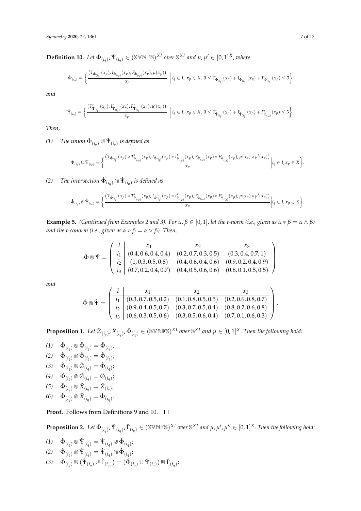$\mathbf{Definition 10. }$  *Let*  $\hat{\Phi}_{(i_q)}, \hat{\Psi}_{(i_q)} \in (\mathbb{SWNFS})^{XI}$  over  $\mathbb{S}^{XI}$  and  $\mu, \mu' \in [0, 1]^X$ , where

$$
\hat{\Phi}_{(i_q)} = \left\{ \frac{(T_{\hat{\Phi}_{(i_q)}}(x_p), I_{\hat{\Phi}_{(i_q)}}(x_p), F_{\hat{\Phi}_{(i_q)}}(x_p), \mu(x_p))}{x_p} \middle| i_q \in I, x_p \in X, 0 \le T_{\hat{\Phi}_{(i_q)}}(x_p) + I_{\hat{\Phi}_{(i_q)}}(x_p) + F_{\hat{\Phi}_{(i_q)}}(x_p) \le 3 \right\}
$$

*and*

$$
\hat{\Psi}_{(i_q)} = \bigg\{ \frac{(T'_{\hat{\Psi}_{(i_q)}}(x_p), I'_{\hat{\Psi}_{(i_q)}}(x_p), F'_{\hat{\Psi}_{(i_q)}}(x_p), \mu'(x_p))}{x_p} \bigg| i_q \in I, \ x_p \in X, \ 0 \le T'_{\hat{\Psi}_{(i_q)}}(x_p) + I'_{\hat{\Psi}_{(i_q)}}(x_p) + F'_{\hat{\Psi}_{(i_q)}}(x_p) \le 3 \bigg\}.
$$

*Then,*

 $(1)$  *The union*  $\hat{\Phi}_{(i_q)} \Cup \hat{\Psi}_{(i_q)}$  *is defined as* 

$$
\hat{\Phi}_{(i_q)} \circledast \hat{\Psi}_{(i_q)} = \bigg\{ \frac{(T_{\hat{\Phi}_{(i_q)}}(x_p) \circ T'_{\hat{\Psi}_{(i_q)}}(x_p) , I_{\hat{\Phi}_{(i_q)}}(x_p) * I'_{\hat{\Psi}_{(i_q)}}(x_p) , F_{\hat{\Phi}_{(i_q)}}(x_p) * F'_{\hat{\Psi}_{(i_q)}}(x_p) , \mu(x_p) \circ \mu'(x_p))}{x_p} \bigg| i_q \in I, x_p \in X \bigg\}.
$$

*(2) The intersection*  $\hat{\Phi}_{(i_q)} \cap \hat{\Psi}_{(i_q)}$  *is defined as* 

$$
\hat{\Phi}_{(i_q)} \cap \hat{\Psi}_{(i_q)} = \bigg\{ \frac{(T_{\hat{\Phi}_{(i_q)}}(x_p) * T'_{\hat{\Psi}_{(i_q)}}(x_p) \cdot I_{\hat{\Phi}_{(i_q)}}(x_p) \circ I'_{\hat{\Psi}_{(i_q)}}(x_p) \cdot F_{\hat{\Phi}_{(i_q)}}(x_p) \circ F'_{\hat{\Psi}_{(i_q)}}(x_p) \cdot \mu(x_p) * \mu'(x_p))}{x_p} \bigg| i_q \in I, x_p \in X \bigg\}.
$$

**Example 5.** *(Continued from Examples 2 and 3). For*  $α, β ∈ [0, 1]$ , *let the t-norm (i.e., given as*  $α * β = α ∧ β$ *) and the t-conorm (i.e., given as*  $\alpha \circ \beta = \alpha \vee \beta$ ). Then,

$$
\hat{\Phi} \boxplus \hat{\Psi} = \begin{pmatrix}\nI & x_1 & x_2 & x_3 \\
\overline{i_1} & (0.4, 0.6, 0.4, 0.4) & (0.2, 0.7, 0.3, 0.5) & (0.3, 0.4, 0.7, 1) \\
\overline{i_2} & (1, 0.3, 0.5, 0.8) & (0.4, 0.6, 0.4, 0.6) & (0.9, 0.2, 0.4, 0.9) \\
\overline{i_3} & (0.7, 0.2, 0.4, 0.7) & (0.4, 0.5, 0.6, 0.6) & (0.8, 0.1, 0.5, 0.5)\n\end{pmatrix}
$$

*and*

$$
\hat{\Phi} \cap \hat{\Psi} = \begin{pmatrix}\nI & x_1 & x_2 & x_3 \\
\hline\ni_1 & (0.3, 0.7, 0.5, 0.2) & (0.1, 0.8, 0.5, 0.5) & (0.2, 0.6, 0.8, 0.7) \\
\hline\ni_2 & (0.9, 0.4, 0.5, 0.7) & (0.3, 0.7, 0.5, 0.4) & (0.8, 0.2, 0.6, 0.8) \\
\hline\ni_3 & (0.6, 0.3, 0.5, 0.6) & (0.3, 0.5, 0.6, 0.4) & (0.7, 0.1, 0.6, 0.3)\n\end{pmatrix}
$$

**Proposition 1.** Let  $\hat{\emptyset}_{(i_q)}$ ,  $\hat{X}_{(i_q)}$ ,  $\hat{\Phi}_{(i_q)} \in (\mathbb{SWNFS})^{XI}$  over  $\mathbb{S}^{XI}$  and  $\mu \in [0,1]^X$ . Then the following hold:

- $(1)$   $\hat{\Phi}_{(i_q)} \otimes \hat{\Phi}_{(i_q)} = \hat{\Phi}_{(i_q)};$  $(2)$   $\hat{\Phi}_{(i_q)} \cap \hat{\Phi}_{(i_q)} = \hat{\Phi}_{(i_q)};$
- $(3)$   $\hat{\Phi}_{(i_q)} \Cup \hat{\otimes}_{(i_q)} = \hat{\Phi}_{(i_q)};$
- $(4)$   $\hat{\Phi}_{(i_q)} \cap \hat{\mathcal{O}}_{(i_q)} = \hat{\mathcal{O}}_{(i_q)};$

(5) 
$$
\hat{\Phi}_{(i_q)} \cup \hat{X}_{(i_q)} = \hat{X}_{(i_q)}
$$
;

 $(6)$   $\hat{\Phi}_{(i_q)} \cap \hat{X}_{(i_q)} = \hat{\Phi}_{(i_q)}$ .

**Proof.** Follows from Definitions 9 and 10. □

**Proposition 2.** Let  $\hat{\Phi}_{(i_q)}$ ,  $\hat{\Psi}_{(i_q)}$ ,  $\hat{\Gamma}_{(i_q)} \in (\mathbb{SWNFS})^{XI}$  over  $\mathbb{S}^{XI}$  and  $\mu$ ,  $\mu'$ ,  $\mu'' \in [0,1]^X$ . Then the following hold:

 $(1)$   $\hat{\Phi}_{(i_q)} \Cup \Psi_{(i_q)} = \hat{\Psi}_{(i_q)} \Cup \Phi_{(i_q)};$ 

$$
(2) \quad \hat{\Phi}_{(i_q)} \cap \hat{\Psi}_{(i_q)} = \hat{\Psi}_{(i_q)} \cap \hat{\Phi}_{(i_q)};
$$

 $(3)$   $\hat{\Phi}_{(i_q)} \cup (\hat{\Psi}_{(i_q)} \cup \hat{\Gamma}_{(i_q)}) = (\hat{\Phi}_{(i_q)} \cup \hat{\Psi}_{(i_q)}) \cup \hat{\Gamma}_{(i_q)};$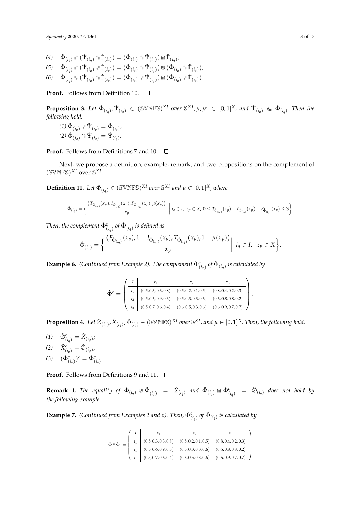- $(4)$   $\hat{\Phi}_{(i_q)} \cap (\hat{\Psi}_{(i_q)} \cap \hat{\Gamma}_{(i_q)}) = (\hat{\Phi}_{(i_q)} \cap \hat{\Psi}_{(i_q)}) \cap \hat{\Gamma}_{(i_q)};$
- $(5)$   $\hat{\Phi}_{(i_q)} \cap (\hat{\Psi}_{(i_q)} \cup \hat{\Gamma}_{(i_q)}) = (\hat{\Phi}_{(i_q)} \cap \hat{\Psi}_{(i_q)}) \cup (\hat{\Phi}_{(i_q)} \cap \hat{\Gamma}_{(i_q)})$ ;
- $(6)$   $\hat{\Phi}_{(i_q)} \cup (\hat{\Psi}_{(i_q)} \cap \hat{\Gamma}_{(i_q)}) = (\hat{\Phi}_{(i_q)} \cup \hat{\Psi}_{(i_q)}) \cap (\hat{\Phi}_{(i_q)} \cup \hat{\Gamma}_{(i_q)}).$

**Proof.** Follows from Definition 10. □

**Proposition 3.** Let  $\hat{\Phi}_{(i_q)}$ ,  $\hat{\Psi}_{(i_q)} \in (\mathbb{SWNFS})^{XI}$  over  $\mathbb{S}^{XI}$ ,  $\mu$ ,  $\mu' \in [0,1]^X$ , and  $\hat{\Psi}_{(i_q)} \in \hat{\Phi}_{(i_q)}$ . Then the *following hold:*

 $(1) \hat{\Phi}_{(i_q)} \cup \hat{\Psi}_{(i_q)} = \hat{\Phi}_{(i_q)};$  $(2) \hat{\Phi}_{(i_q)} \cap \hat{\Psi}_{(i_q)} = \hat{\Psi}_{(i_q)}.$ 

**Proof.** Follows from Definitions 7 and 10. □

Next, we propose a definition, example, remark, and two propositions on the complement of  $(SVMFS)^{XI}$  over  $S^{XI}$ .

**Definition 11.** Let  $\hat{\Phi}_{(i_q)} \in (\mathbb{SVMFS})^{XI}$  over  $\mathbb{S}^{XI}$  and  $\mu \in [0,1]^X$ , where

$$
\hat{\Phi}_{(i_q)} = \bigg\{ \frac{(T_{\hat{\Phi}_{(i_q)}}(x_p), I_{\hat{\Phi}_{(i_q)}}(x_p), F_{\hat{\Phi}_{(i_q)}}(x_p), \mu(x_p))}{x_p} \bigg| i_q \in I, \ x_p \in X, \ 0 \le T_{\hat{\Phi}_{(i_q)}}(x_p) + I_{\hat{\Phi}_{(i_q)}}(x_p) + F_{\hat{\Phi}_{(i_q)}}(x_p) \le 3 \bigg\}.
$$

Then, the complement  $\hat{\Phi}^c_{(i_q)}$  of  $\hat{\Phi}_{(i_q)}$  is defined as

$$
\hat{\Phi}_{(i_q)}^c = \left\{ \frac{\left(F_{\hat{\Phi}_{(i_q)}}(x_p), 1 - I_{\hat{\Phi}_{(i_q)}}(x_p), T_{\hat{\Phi}_{(i_q)}}(x_p), 1 - \mu(x_p)\right)}{x_p} \middle| i_q \in I, x_p \in X \right\}.
$$

**Example 6.** *(Continued from Example 2). The complement*  $\hat{\Phi}^c_{(i_q)}$  *of*  $\hat{\Phi}_{(i_q)}$  *is calculated by* 

$$
\hat{\Phi}^c = \begin{pmatrix}\nI & x_1 & x_2 & x_3 \\
\frac{i_1}{i_2} & (0.5, 0.3, 0.3, 0.8) & (0.5, 0.2, 0.1, 0.5) & (0.8, 0.4, 0.2, 0.3) \\
\frac{i_2}{i_3} & (0.5, 0.6, 0.9, 0.3) & (0.5, 0.3, 0.3, 0.6) & (0.6, 0.8, 0.8, 0.2) \\
\frac{i_3}{i_3} & (0.5, 0.7, 0.6, 0.4) & (0.6, 0.5, 0.3, 0.6) & (0.6, 0.9, 0.7, 0.7)\n\end{pmatrix}.
$$

**Proposition 4.** Let  $\hat{\emptyset}_{(i_q)}$ ,  $\hat{X}_{(i_q)}$ ,  $\hat{\Phi}_{(i_q)} \in (\mathbb{SWNFS})^{XI}$  over  $\mathbb{S}^{XI}$ , and  $\mu \in [0,1]^X$ . Then, the following hold:

- $(1)$   $\hat{\mathcal{O}}_{(i_q)}^c = \hat{X}_{(i_q)}$ ;
- $\hat{X}_{(i_q)}^c = \hat{\mathcal{O}}_{(i_q)}$ ;
- (3)  $(\hat{\Phi}_{(i_q)}^c)^c = \hat{\Phi}_{(i_q)}^c$ .

**Proof.** Follows from Definitions 9 and 11. □

**Remark 1.** The equality of  $\hat{\Phi}_{(i_q)} \cup \hat{\Phi}_{(i_q)}^c = \hat{X}_{(i_q)}$  and  $\hat{\Phi}_{(i_q)} \cap \hat{\Phi}_{(i_q)}^c = \hat{\phi}_{(i_q)}$  does not hold by *the following example.*

**Example 7.** *(Continued from Examples 2 and 6). Then,*  $\hat{\Phi}^c_{(i_q)}$  *of*  $\hat{\Phi}_{(i_q)}$  *is calculated by* 

$$
\hat{\Phi} \Psi \hat{\Phi}^c = \begin{pmatrix}\nI & x_1 & x_2 & x_3 \\
i_1 & (0.5, 0.3, 0.3, 0.8) & (0.5, 0.2, 0.1, 0.5) & (0.8, 0.4, 0.2, 0.3) \\
i_1 & (0.5, 0.6, 0.9, 0.3) & (0.5, 0.3, 0.3, 0.6) & (0.6, 0.8, 0.8, 0.2) \\
i_1 & (0.5, 0.7, 0.6, 0.4) & (0.6, 0.5, 0.3, 0.6) & (0.6, 0.9, 0.7, 0.7)\n\end{pmatrix}
$$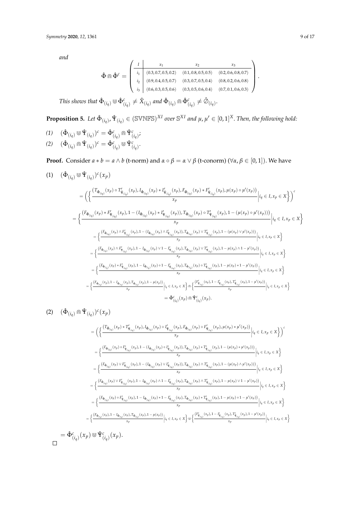*and*

$$
\hat{\Phi} \widehat{\mathbb{D}} \hat{\Phi}^c = \begin{pmatrix}\nI & x_1 & x_2 & x_3 \\
\frac{i_1}{i_2} & (0.3, 0.7, 0.5, 0.2) & (0.1, 0.8, 0.5, 0.5) & (0.2, 0.6, 0.8, 0.7) \\
\frac{i_2}{i_3} & (0.9, 0.4, 0.5, 0.7) & (0.3, 0.7, 0.5, 0.4) & (0.8, 0.2, 0.6, 0.8) \\
0.6, 0.3, 0.5, 0.6) & (0.3, 0.5, 0.6, 0.4) & (0.7, 0.1, 0.6, 0.3)\n\end{pmatrix}.
$$

 $\text{This shows that } \hat{\Phi}_{(i_q)} \cup \hat{\Phi}_{(i_q)}^c \neq \hat{X}_{(i_q)}$  and  $\hat{\Phi}_{(i_q)} \cap \hat{\Phi}_{(i_q)}^c \neq \hat{\oslash}_{(i_q)}$ .

**Proposition 5.** Let  $\hat{\Phi}_{(i_q)}$ ,  $\hat{\Psi}_{(i_q)} \in (\mathbb{SWNFS})^{XI}$  over  $\mathbb{S}^{XI}$  and  $\mu, \mu' \in [0,1]^X$ . Then, the following hold:

$$
(1) \quad (\hat{\Phi}_{(i_q)} \otimes \hat{\Psi}_{(i_q)})^c = \hat{\Phi}_{(i_q)}^c \cap \hat{\Psi}_{(i_q)}^c;
$$
  

$$
(2) \quad (\hat{\Phi}_{(i_q)} \otimes \hat{\Psi}_{(i_q)})^c \quad \hat{\Phi}_{(i_q)}^c = \hat{\Phi}_{(i_q)}^c.
$$

(2) 
$$
(\hat{\Phi}_{(i_q)} \cap \hat{\Psi}_{(i_q)})^c = \hat{\Phi}^c_{(i_q)} \cup \hat{\Psi}^c_{(i_q)}
$$
.

**Proof.** Consider  $a * b = a \wedge b$  (t-norm) and  $\alpha \circ \beta = \alpha \vee \beta$  (t-conorm) ( $\forall \alpha, \beta \in [0, 1]$ ). We have

$$
(1) \quad (\hat{\Phi}_{(i_{q})} \otimes \hat{\Psi}_{(i_{q})})c(x_{p})
$$
\n
$$
= \left\{ \frac{\left(T_{\hat{\Phi}_{(i_{q})}}(x_{p}) \circ T'_{\hat{\Psi}_{(i_{q})}}(x_{p}), I_{\hat{\Phi}_{(i_{q})}}(x_{p}) * I'_{\hat{\Psi}_{(i_{q})}}(x_{p}), F_{\hat{\Phi}_{(i_{q})}}(x_{p}) * F'_{\hat{\Psi}_{(i_{q})}}(x_{p}), \mu(x_{p}) \circ \mu'(x_{p}))}{x_{p}} \middle| i_{q} \in I, x_{p} \in X \right\} \right)^{c}
$$
\n
$$
= \left\{ \frac{\left(F_{\hat{\Phi}_{(i_{q})}}(x_{p}) * F'_{\hat{\Psi}_{(i_{q})}}(x_{p}), 1 - (I_{\hat{\Phi}_{(i_{q})}}(x_{p}) * I'_{\hat{\Psi}_{(i_{q})}}(x_{p})), T_{\hat{\Phi}_{(i_{q})}}(x_{p}) \circ T'_{\hat{\Psi}_{(i_{q})}}(x_{p}), 1 - (\mu(x_{p}) \circ \mu'(x_{p})))}{x_{p}} \middle| i_{q} \in I, x_{p} \in X \right\}
$$
\n
$$
= \left\{ \frac{\left(F_{\hat{\Phi}_{(i_{q})}}(x_{p}) \wedge F'_{\hat{\Psi}_{(i_{q})}}(x_{p}), 1 - (I_{\hat{\Phi}_{(i_{q})}}(x_{p}) \wedge I'_{\hat{\Psi}_{(i_{q})}}(x_{p})), T_{\hat{\Phi}_{(i_{q})}}(x_{p}) \vee T'_{\hat{\Psi}_{(i_{q})}}(x_{p}), 1 - (\mu(x_{p}) \vee \mu'(x_{p})))}{x_{p}} \middle| i_{q} \in I, x_{p} \in X \right\}
$$
\n
$$
= \left\{ \frac{\left(F_{\hat{\Phi}_{(i_{q})}}(x_{p}) \wedge F'_{\hat{\Psi}_{(i_{q})}}(x_{p}), 1 - I_{\hat{\Phi}_{(i_{q})}}(x_{p}) \vee 1 - I'_{\hat{\Psi}_{(i_{q})}}(x_{p}), T_{\hat{\Phi}_{(i_{q})}}(x_{p}) \vee T'_{\hat{\Psi}_{(i_{q})}}(x_{p}), 1 - \mu(x_{p}) \wedge 1 - \mu'(x_{p}))}{x_{
$$

$$
(2) \quad (\hat{\Phi}_{(i_q)} \cap \hat{\Psi}_{(i_q)})^c(x_p)
$$

$$
= \left( \left\{ \frac{\left(T_{\Phi_{(i_{q})}}(x_{p}) + T'_{\Phi_{(i_{q})}}(x_{p}) \cdot I_{\Phi_{(i_{q})}}(x_{p}) \circ I'_{\Phi_{(i_{q})}}(x_{p}) \circ I'_{\Phi_{(i_{q})}}(x_{p}) \circ I'_{\Phi_{(i_{q})}}(x_{p}) \circ I'_{\Phi_{(i_{q})}}(x_{p}) \right)}{x_{p}} \Big| i_{q} \in I, x_{p} \in X \right\} \right)^{c}
$$
\n
$$
= \left\{ \frac{\left(F_{\Phi_{(i_{q})}}(x_{p}) \circ F'_{\Phi_{(i_{q})}}(x_{p}) \cdot I - (I_{\Phi_{(i_{q})}}(x_{p}) \circ I'_{\Phi_{(i_{q})}}(x_{p})) \cdot T_{\Phi_{(i_{q})}}(x_{p}) \ast T'_{\Phi_{(i_{q})}}(x_{p}) \cdot I - (\mu(x_{p}) \ast \mu'(x_{p}))\right)}{x_{p}} \Big| i_{q} \in I, x_{p} \in X \right\}
$$
\n
$$
= \left\{ \frac{\left(F_{\Phi_{(i_{q})}}(x_{p}) \vee F'_{\Phi_{(i_{q})}}(x_{p}) \cdot I - (I_{\Phi_{(i_{q})}}(x_{p}) \vee I'_{\Phi_{(i_{q})}}(x_{p})) \cdot T_{\Phi_{(i_{q})}}(x_{p}) \wedge T'_{\Phi_{(i_{q})}}(x_{p}) \cdot I - (\mu(x_{p}) \wedge \mu'(x_{p}))\right)}{x_{p}} \Big| i_{q} \in I, x_{p} \in X \right\}
$$
\n
$$
= \left\{ \frac{\left(F_{\Phi_{(i_{q})}}(x_{p}) \vee F'_{\Phi_{(i_{q})}}(x_{p}) \cdot I - I_{\Phi_{(i_{q})}}(x_{p}) \wedge I - I'_{\Phi_{(i_{q})}}(x_{p}) \cdot T_{\Phi_{(i_{q})}}(x_{p}) \wedge T'_{\Phi_{(i_{q})}}(x_{p}) \cdot I - \mu(x_{p}) \vee I - \mu'(x_{p})\right)}{x_{p}} \Big| i_{q} \in I, x_{p} \in X \right\}
$$
\n
$$
= \left\{ \frac{\left(F_{\Phi_{(i_{q})}}(x_{p}) \
$$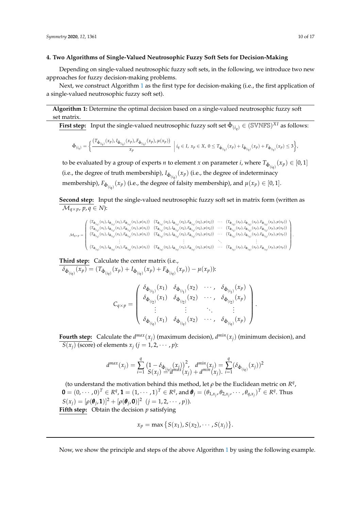## <span id="page-9-1"></span>**4. Two Algorithms of Single-Valued Neutrosophic Fuzzy Soft Sets for Decision-Making**

Depending on single-valued neutrosophic fuzzy soft sets, in the following, we introduce two new approaches for fuzzy decision-making problems.

Next, we construct Algorithm [1](#page-9-0) as the first type for decision-making (i.e., the first application of a single-valued neutrosophic fuzzy soft set).

**Algorithm 1:** Determine the optimal decision based on a single-valued neutrosophic fuzzy soft set matrix.

<span id="page-9-0"></span>**First step:** Input the single-valued neutrosophic fuzzy soft set 
$$
\hat{\Phi}_{(i_q)} \in (\mathbb{SWNFS})^{XI}
$$
 as follows:

$$
\hat{\Phi}_{(i_q)} = \bigg\{ \frac{(T_{\hat{\Phi}_{(i_q)}}(x_p), I_{\hat{\Phi}_{(i_q)}}(x_p), F_{\hat{\Phi}_{(i_q)}}(x_p), \mu(x_p))}{x_p}\ \bigg| \ i_q \in I, \ x_p \in X, \ 0 \leq T_{\hat{\Phi}_{(i_q)}}(x_p) + I_{\hat{\Phi}_{(i_q)}}(x_p) + F_{\hat{\Phi}_{(i_q)}}(x_p) \leq 3 \bigg\},
$$

to be evaluated by a group of experts *n* to element *x* on parameter *i*, where  $T_{\hat{\Phi}_{(i_q)}}(x_p) \in [0,1]$ (i.e., the degree of truth membership),  $I_{\hat{\Phi}_{(i_q)}}(x_p)$  (i.e., the degree of indeterminacy membership),  $F_{\hat{\Phi}_{(iq)}}(x_p)$  (i.e., the degree of falsity membership), and  $\mu(x_p)\in[0,1].$ 

**Second step:** Input the single-valued neutrosophic fuzzy soft set in matrix form (written as  $\mathcal{M}_{q \times p}$ ,  $p, q \in N$ :

$$
\mathcal{M}_{q\times p} = \left( \begin{array}{cccccc} (T_{\hat{\Phi}_{(i_1)}}(x_1), I_{\hat{\Phi}_{(i_1)}}(x_1), F_{\hat{\Phi}_{(i_1)}}(x_1), \mu(x_1)) & (T_{\hat{\Phi}_{(i_1)}}(x_2), I_{\hat{\Phi}_{(i_1)}}(x_2), F_{\hat{\Phi}_{(i_1)}}(x_2), \mu(x_2)) & \cdots & (T_{\hat{\Phi}_{(i_2)}}(x_p), I_{\hat{\Phi}_{(i_2)}}(x_p), F_{\hat{\Phi}_{(i_2)}}(x_p)) \\ (T_{\hat{\Phi}_{(i_2)}}(x_1), I_{\hat{\Phi}_{(i_2)}}(x_1), F_{\hat{\Phi}_{(i_2)}}(x_1), \mu(x_1)) & (T_{\hat{\Phi}_{(i_2)}}(x_2), I_{\hat{\Phi}_{(i_2)}}(x_2), F_{\hat{\Phi}_{(i_2)}}(x_2), \mu(x_2)) & \cdots & (T_{\hat{\Phi}_{(i_2)}}(x_p), I_{\hat{\Phi}_{(i_2)}}(x_p), F_{\hat{\Phi}_{(i_2)}}(x_p), \mu(x_p)) \\ (T_{\hat{\Phi}_{(i_3)}}(x_1), I_{\hat{\Phi}_{(i_3)}}(x_1), F_{\hat{\Phi}_{(i_3)}}(x_1), \mu(x_1)) & (T_{\hat{\Phi}_{(i_3)}}(x_2), I_{\hat{\Phi}_{(i_3)}}(x_2), F_{\hat{\Phi}_{(i_3)}}(x_2), \mu(x_2)) & \cdots & (T_{\hat{\Phi}_{(i_3)}}(x_p), I_{\hat{\Phi}_{(i_3)}}(x_p), F_{\hat{\Phi}_{(i_3)}}(x_p), \mu(x_p)) \\ \vdots & \vdots & \ddots & \vdots \\ (T_{\hat{\Phi}_{(i_q)}}(x_1), I_{\hat{\Phi}_{(i_q)}}(x_1), F_{\hat{\Phi}_{(i_q)}}(x_1), \mu(x_1)) & (T_{\hat{\Phi}_{(i_q)}}(x_2), I_{\hat{\Phi}_{(i_q)}}(x_2), F_{\hat{\Phi}_{(i_q)}}(x_2), \mu(x_2)) & \cdots & (T_{\hat{\Phi}_{(i_q)}}(x_p), I_{\hat{\Phi}_{(i_q)}}(x_p), F_{\hat{\Phi}_{(i_q)}}(x_p), \mu(x_p)) \\ \vdots & \vdots & \ddots & \vdots \\ (T_{\hat{\Phi}_{(i_q
$$

**Third step:** Calculate the center matrix (i.e.,

 $\delta_{\hat{\Phi}_{(i_q)}}(x_p) = (T_{\hat{\Phi}_{(i_q)}}(x_p) + I_{\hat{\Phi}_{(i_q)}}(x_p) + F_{\hat{\Phi}_{(i_q)}}(x_p)) - \mu(x_p)).$ 

$$
C_{q \times p} = \begin{pmatrix} \delta_{\hat{\Phi}_{(i_1)}}(x_1) & \delta_{\hat{\Phi}_{(i_1)}}(x_2) & \cdots & \delta_{\hat{\Phi}_{(i_1)}}(x_p) \\ \delta_{\hat{\Phi}_{(i_2)}}(x_1) & \delta_{\hat{\Phi}_{(i_2)}}(x_2) & \cdots & \delta_{\hat{\Phi}_{(i_2)}}(x_p) \\ \vdots & \vdots & \ddots & \vdots \\ \delta_{\hat{\Phi}_{(i_q)}}(x_1) & \delta_{\hat{\Phi}_{(i_q)}}(x_2) & \cdots & \delta_{\hat{\Phi}_{(i_q)}}(x_p) \end{pmatrix}.
$$

**Fourth step:** Calculate the  $d^{max}(x_j)$  (maximum decision),  $d^{min}(x_j)$  (minimum decision), and  $S(x_j)$  (score) of elements  $x_j$  ( $j = 1, 2, \cdots, p$ ):

$$
d^{max}(x_j) = \sum_{i=1}^q \frac{(1 - \delta_{\hat{\Phi}_{(i,q)}}(x_j))^2}{S(x_j) \stackrel{d}{=} d^{max}(x_j)} + d^{min}(x_j) = \sum_{i=1}^q (\delta_{\hat{\Phi}_{(i,q)}}(x_j))^2
$$

(to understand the motivation behind this method, let  $\rho$  be the Euclidean metric on  $R^q$ ,  $\mathbf{0}=(0,\cdots,0)^T\in R^q, \mathbf{1}=(1,\cdots,1)^T\in R^q$ , and  $\boldsymbol{\theta}_j=(\theta_{1,x_j},\theta_{2,x_j},\cdots,\theta_{q,x_j})^T\in R^q.$  Thus  $S(x_j) = [\rho(\theta_j, 1)]^2 + [\rho(\theta_j, 0)]^2$   $(j = 1, 2, \dots, p)$ . **Fifth step:** Obtain the decision *p* satisfying

$$
x_p = \max \big\{ S(x_1), S(x_2), \cdots, S(x_j) \big\}.
$$

Now, we show the principle and steps of the above Algorithm [1](#page-9-0) by using the following example.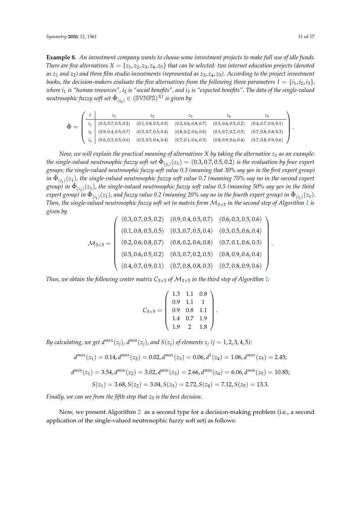**Example 8.** *An investment company wants to choose some investment projects to make full use of idle funds. There are five alternatives*  $X = \{z_1, z_2, z_3, z_4, z_5\}$  *that can be selected: two internet education projects (denoted as z*<sup>1</sup> *and z*2*) and three film studio investments (represented as z*3, *z*4, *z*5*). According to the project investment books, the decision-makers evaluate the five alternatives from the following three parameters*  $I = \{i_1, i_2, i_3\}$ *, where i*<sup>1</sup> *is "human resources", i*<sup>2</sup> *is "social benefits", and i*<sup>3</sup> *is "expected benefits". The data of the single-valued*  $\mathit{neutrosophic}\, \mathit{fuzzy}\, \mathit{soft}\, \mathit{set}\, \hat{\Phi}_{(i_q)} \in (\mathbb{S}\mathbb{V}\mathbb{N}\mathbb{F}\mathbb{S})^{XI}\, \mathit{is}\, \mathit{given}\, \mathit{by}$ 

|  |  | 22 |                                                                                                                                        |                                                                                                                                                       |
|--|--|----|----------------------------------------------------------------------------------------------------------------------------------------|-------------------------------------------------------------------------------------------------------------------------------------------------------|
|  |  |    | $(0.3, 0.7, 0.5, 0.2) \qquad (0.1, 0.8, 0.5, 0.5) \qquad (0.2, 0.6, 0.8, 0.7) \qquad (0.5, 0.6, 0.5, 0.2) \qquad (0.4, 0.7, 0.9, 0.1)$ |                                                                                                                                                       |
|  |  |    | $(0.9, 0.4, 0.5, 0.7) \qquad (0.3, 0.7, 0.5, 0.4) \qquad (0.8, 0.2, 0.6, 0.8) \qquad (0.3, 0.7, 0.2, 0.5) \qquad (0.7, 0.8, 0.8, 0.3)$ |                                                                                                                                                       |
|  |  |    |                                                                                                                                        | $(0.6, 0.3, 0.5, 0.6) \qquad (0.3, 0.5, 0.6, 0.4) \qquad (0.7, 0.1, 0.6, 0.3) \qquad (0.8, 0.9, 0.6, 0.4) \qquad (0.7, 0.8, 0.9, 0.6) \qquad \bigg\}$ |

*Now, we will explain the practical meaning of alternatives X by taking the alternative z*<sup>1</sup> *as an example:* the single-valued neutrosophic fuzzy soft set  $\hat{\Phi}_{(i_1)}(z_1)=(0.3,0.7,0.5,0.2)$  is the evaluation by four expert *groups; the single-valued neutrosophic fuzzy soft value 0.3 (meaning that 30*% *say yes in the first expert group)*  $in$   $\hat{\Phi}_{(i_1)}(z_1)$ , the single-valued neutrosophic fuzzy soft value 0.7 (meaning 70% say no in the second expert  $g$ roup) in  $\hat{\Phi}_{(i_1)}(z_1)$ , the single-valued neutrosophic fuzzy soft value 0.5 (meaning 50% say yes in the third  $e$ xpert group) in  $\hat\Phi_{(i_1)}(z_1)$ , and fuzzy value 0.2 (meaning 20% say no in the fourth expert group) in  $\hat\Phi_{(i_1)}(z_1)$ . *Then, the single-valued neutrosophic fuzzy soft set in matrix form* M3×<sup>5</sup> *in the second step of Algorithm [1](#page-9-0) is given by*

$$
\mathcal{M}_{3\times 5} = \left(\begin{array}{cccccc} (0.3, 0.7, 0.5, 0.2) & (0.9, 0.4, 0.5, 0.7) & (0.6, 0.3, 0.5, 0.6) \\ (0.1, 0.8, 0.5, 0.5) & (0.3, 0.7, 0.5, 0.4) & (0.3, 0.5, 0.6, 0.4) \\ (0.2, 0.6, 0.8, 0.7) & (0.8, 0.2, 0.6, 0.8) & (0.7, 0.1, 0.6, 0.3) \\ (0.5, 0.6, 0.5, 0.2) & (0.3, 0.7, 0.2, 0.5) & (0.8, 0.9, 0.6, 0.4) \\ (0.4, 0.7, 0.9, 0.1) & (0.7, 0.8, 0.8, 0.3) & (0.7, 0.8, 0.9, 0.6) \end{array}\right).
$$

*Thus, we obtain the following center matrix*  $C_{3\times5}$  *of*  $M_{3\times5}$  *in the third step of Algorithm [1:](#page-9-0)* 

$$
C_{3\times 5} = \left(\begin{array}{rrr} 1.3 & 1.1 & 0.8 \\ 0.9 & 1.1 & 1 \\ 0.9 & 0.8 & 1.1 \\ 1.4 & 0.7 & 1.9 \\ 1.9 & 2 & 1.8 \end{array}\right)
$$

.

*By calculating, we get*  $d^{max}(z_j)$ *,*  $d^{min}(z_j)$ *, and*  $S(z_j)$  *of elements*  $z_j$  *(* $j = 1, 2, 3, 4, 5$ *):* 

$$
d^{max}(z_1) = 0.14, d^{max}(z_2) = 0.02, d^{max}(z_3) = 0.06, d^1(z_4) = 1.06, d^{max}(z_5) = 2.45;
$$
  

$$
d^{min}(z_1) = 3.54, d^{min}(z_2) = 3.02, d^{min}(z_3) = 2.66, d^{min}(z_4) = 6.06, d^{min}(z_5) = 10.85;
$$
  

$$
S(z_1) = 3.68, S(z_2) = 3.04, S(z_3) = 2.72, S(z_4) = 7.12, S(z_5) = 13.3.
$$

*Finally, we can see from the fifth step that*  $z_5$  *is the best decision.* 

Now, we present Algorithm [2](#page-11-0) as a second type for a decision-making problem (i.e., a second application of the single-valued neutrosophic fuzzy soft set) as follows: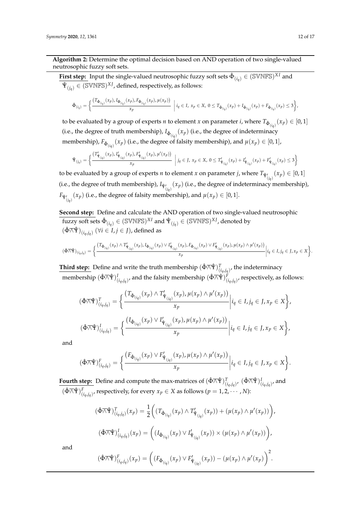**Algorithm 2:** Determine the optimal decision based on AND operation of two single-valued neutrosophic fuzzy soft sets.

<span id="page-11-0"></span> $\frac{1}{n}$  **First step:** Input the single-valued neutrosophic fuzzy soft sets  $\hat{\Phi}_{(i_q)} \in (\mathbb{S} \text{VNFS})^{XI}$  and  $\hat{\Psi}_{(j_q)} \in (\mathbb{SWNFS})^{XI}$ , defined, respectively, as follows:

$$
\hat{\Phi}_{(i_q)} = \left\{ \frac{(T_{\hat{\Phi}_{(i_q)}}(x_p), I_{\hat{\Phi}_{(i_q)}}(x_p), F_{\hat{\Phi}_{(i_q)}}(x_p), \mu(x_p))}{x_p} \middle| i_q \in I, x_p \in X, 0 \leq T_{\hat{\Phi}_{(i_q)}}(x_p) + I_{\hat{\Phi}_{(i_q)}}(x_p) + F_{\hat{\Phi}_{(i_q)}}(x_p) \leq 3 \right\},\
$$

to be evaluated by a group of experts *n* to element *x* on parameter *i*, where  $T_{\hat{\Phi}_{(i_q)}}(x_p) \in [0,1]$ (i.e., the degree of truth membership),  $I_{\hat{\Phi}_{(i_q)}}(x_p)$  (i.e., the degree of indeterminacy membership),  $F_{\hat{\Phi}_{(i_q)}}(x_p)$  (i.e., the degree of falsity membership), and  $\mu(x_p)\in[0,1]$ ,

$$
\hat{\Psi}_{(j_q)} = \left\{ \frac{\left(T'_{\hat{\Psi}_{(j_q)}}(x_p), I'_{\hat{\Psi}_{(j_q)}}(x_p), F'_{\hat{\Psi}_{(j_q)}}(x_p), \mu'(x_p)\right)}{x_p} \middle| j_q \in J, \ x_p \in X, \ 0 \le T'_{\hat{\Psi}_{(j_q)}}(x_p) + I'_{\hat{\Psi}_{(j_q)}}(x_p) + F'_{\hat{\Psi}_{(j_q)}}(x_p) \le 3 \right\}
$$

to be evaluated by a group of experts *n* to element *x* on parameter *j*, where  $T_{\hat{\Psi}'_{(jq)}}(x_p) \in [0,1]$ (i.e., the degree of truth membership),  $I_{\hat{\Psi}'_{(j_q)}}(x_p)$  (i.e., the degree of indeterminacy membership),  $F_{\hat{\Psi}'_{(j_q)}}(x_p)$  (i.e., the degree of falsity membership), and  $\mu(x_p) \in [0,1].$ 

**Second step:** Define and calculate the AND operation of two single-valued neutrosophic  $fuzzy~soft~sets~\hat{\Phi}_{(i_q)}\in(\mathbb{SWNFS})^{XI}$  and  $\hat{\Psi}_{(j_q)}\in(\mathbb{SWNFS})^{XI}$ , denoted by  $(\hat{\Phi} \overline{\wedge} \hat{\Psi})_{(i_q,j_q)}$   $(\forall i \in I, j \in J)$ , defined as

$$
(\hat{\Phi} \overline{\wedge} \hat{\Psi})_{(i_q, j_q)} = \Big\{ \frac{(T_{\hat{\Phi}_{(i_q)}}(x_p) \wedge T'_{\hat{\Psi}_{(j_q)}}(x_p) , I_{\hat{\Phi}_{(i_q)}}(x_p) \vee I'_{\hat{\Psi}_{(j_q)}}(x_p) , F_{\hat{\Phi}_{(i_q)}}(x_p) \vee F'_{\hat{\Psi}_{(j_q)}}(x_p) , \mu(x_p) \wedge \mu'(x_p))}{x_p} \Big| i_q \in I, j_q \in J, x_p \in X \Big\}.
$$

**Third step:** Define and write the truth membership  $(\hat{\Phi} \overline{\wedge} \hat{\Psi})^T_{(i_q,j_q)}$ , the indeterminacy  $\text{membership } (\hat{\Phi} \overline{\wedge} \hat{\Psi})^I_{(i_q, j_q)}, \text{and the falsity membership } (\hat{\Phi} \overline{\wedge} \hat{\Psi})^F_{(i_q, j_q)}, \text{respectively, as follows:}$ 

$$
(\hat{\Phi}\overline{\wedge}\hat{\Psi})^T_{(i_q,j_q)} = \left\{ \frac{(T_{\hat{\Phi}_{(i_q)}}(x_p) \wedge T'_{\hat{\Psi}_{(j_q)}}(x_p), \mu(x_p) \wedge \mu'(x_p))}{x_p} \middle| i_q \in I, j_q \in J, x_p \in X \right\},\
$$

$$
(\hat{\Phi}\overline{\wedge}\hat{\Psi})^I_{(i_q,j_q)} = \left\{ \frac{(I_{\hat{\Phi}_{(i_q)}}(x_p) \vee I'_{\hat{\Psi}_{(j_q)}}(x_p), \mu(x_p) \wedge \mu'(x_p))}{x_p} \middle| i_q \in I, j_q \in J, x_p \in X \right\},\
$$

and

$$
(\hat{\Phi}\overline{\wedge}\hat{\Psi})^F_{(i_q,j_q)} = \bigg\{ \frac{\left(F_{\hat{\Phi}_{(i_q)}}(x_p) \vee F'_{\hat{\Psi}_{(j_q)}}(x_p), \mu(x_p) \wedge \mu'(x_p)\right)}{x_p} \bigg| i_q \in I, j_q \in J, x_p \in X \bigg\}.
$$

 $\frac{1}{2}$  **Fourth step:** Define and compute the max-matrices of  $(\hat{\Phi} \overline{\wedge} \hat{\Psi})^T_{(i_q,j_q)}$ ,  $(\hat{\Phi} \overline{\wedge} \hat{\Psi})^I_{(i_q,j_q)}$ , and  $(\hat{\Phi} \overline{\wedge} \hat{\Psi})^F_{(i_q,j_q)}$ , respectively, for every  $x_p \in X$  as follows  $(p=1,2,\cdots,N)$ :

$$
(\hat{\Phi}\overline{\wedge}\hat{\Psi})_{(i_q,j_q)}^T(x_p) = \frac{1}{2} \Big( (T_{\hat{\Phi}_{(i_q)}}(x_p) \wedge T'_{\hat{\Psi}_{(j_q)}}(x_p)) + (\mu(x_p) \wedge \mu'(x_p)) \Big),
$$
  

$$
(\hat{\Phi}\overline{\wedge}\hat{\Psi})_{(i_q,j_q)}^I(x_p) = \Big( (I_{\hat{\Phi}_{(i_q)}}(x_p) \vee I'_{\hat{\Psi}_{(j_q)}}(x_p)) \times (\mu(x_p) \wedge \mu'(x_p)) \Big),
$$
  

$$
(\hat{\Phi}\overline{\wedge}\hat{\Psi})_{(i_q,j_q)}^F(x_p) = \Big( (F_{\hat{\Phi}_{(i_q)}}(x_p) \vee F'_{\hat{\Psi}_{(j_q)}}(x_p)) - (\mu(x_p) \wedge \mu'(x_p)) \Big)^2.
$$

and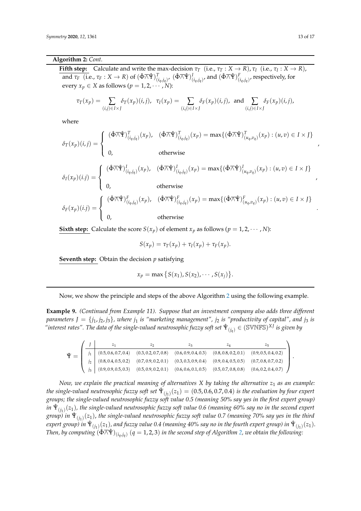#### **Algorithm 2:** *Cont.*

**Fifth step:** Calculate and write the max-decision  $\tau_T$  (i.e.,  $\tau_T : X \to R$ ),  $\tau_I$  (i.e.,  $\tau_I : X \to R$ ), and  $\tau_F\;$  (i.e.,  $\tau_F:X\to R)$  of  $(\hat\Phi\overline\wedge\hat \Psi)^T_{(i_q,j_q)}$ ,  $(\hat\Phi\overline\wedge\hat \Psi)^I_{(i_q,j_q)}$ , and  $(\hat\Phi\overline\wedge\hat \Psi)^F_{(i_q,j_q)}$ , respectively, for every  $x_p \in X$  as follows  $(p = 1, 2, \cdots, N)$ :

$$
\tau_T(x_p) = \sum_{(i,j)\in I\times J} \delta_T(x_p)(i,j), \quad \tau_I(x_p) = \sum_{(i,j)\in I\times J} \delta_F(x_p)(i,j), \text{ and } \sum_{(i,j)\in I\times J} \delta_F(x_p)(i,j),
$$

where

$$
\delta_{T}(x_{p})(i,j) = \begin{cases}\n(\hat{\Phi}\overline{\wedge}\hat{\Psi})_{(i_{q},j_{q})}^{T}(x_{p}), & (\hat{\Phi}\overline{\wedge}\hat{\Psi})_{(i_{q},j_{q})}^{T}(x_{p}) = \max\{(\hat{\Phi}\overline{\wedge}\hat{\Psi})_{(u_{q},v_{q})}^{T}(x_{p}) : (u,v) \in I \times J\} \\
0, & \text{otherwise}\n\end{cases}
$$
\n
$$
\delta_{I}(x_{p})(i,j) = \begin{cases}\n(\hat{\Phi}\overline{\wedge}\hat{\Psi})_{(i_{q},j_{q})}^{I}(x_{p}), & (\hat{\Phi}\overline{\wedge}\hat{\Psi})_{(i_{q},j_{q})}^{I}(x_{p}) = \max\{(\hat{\Phi}\overline{\wedge}\hat{\Psi})_{(u_{q},v_{q})}^{I}(x_{p}) : (u,v) \in I \times J\} \\
0, & \text{otherwise}\n\end{cases}
$$
\n
$$
\delta_{F}(x_{p})(i,j) = \begin{cases}\n(\hat{\Phi}\overline{\wedge}\hat{\Psi})_{(i_{q},j_{q})}^{F}(x_{p}), & (\hat{\Phi}\overline{\wedge}\hat{\Psi})_{(i_{q},j_{q})}^{F}(x_{p}) = \max\{(\hat{\Phi}\overline{\wedge}\hat{\Psi})_{(u_{q},v_{q})}^{F}(x_{p}) : (u,v) \in I \times J\} \\
0, & \text{otherwise}\n\end{cases}
$$

**Sixth step:** Calculate the score  $S(x_p)$  of element  $x_p$  as follows ( $p = 1, 2, \cdots, N$ ):

$$
S(x_p) = \tau_T(x_p) + \tau_I(x_p) + \tau_F(x_p).
$$

**Seventh step:** Obtain the decision *p* satisfying

$$
x_p = \max \left\{ S(x_1), S(x_2), \cdots, S(x_j) \right\}.
$$

Now, we show the principle and steps of the above Algorithm [2](#page-11-0) using the following example.

**Example 9.** *(Continued from Example 11). Suppose that an investment company also adds three different parameters*  $J = \{j_1, j_2, j_3\}$ , where  $j_1$  *is "marketing management"*,  $j_2$  *is "productivity of capital"*, and  $j_3$  *is*  $\H$ "interest rates". The data of the single-valued neutrosophic fuzzy soft set  $\hat{\Psi}_{(j_q)}\in(\mathbb{SWNFS})^{XI}$  is given by

|  |                                                                                                                    | $\mathcal{L}$                                                        | ∠વ                                                                                          |                      |                      |  |
|--|--------------------------------------------------------------------------------------------------------------------|----------------------------------------------------------------------|---------------------------------------------------------------------------------------------|----------------------|----------------------|--|
|  | (0.5, 0.6, 0.7, 0.4)                                                                                               |                                                                      | $(0.3, 0.2, 0.7, 0.8)$ $(0.6, 0.9, 0.4, 0.3)$ $(0.8, 0.8, 0.2, 0.1)$ $(0.9, 0.5, 0.4, 0.2)$ |                      |                      |  |
|  | $(0.8, 0.4, 0.5, 0.2)$ $(0.7, 0.9, 0.2, 0.1)$ $(0.3, 0.3, 0.9, 0.4)$ $(0.9, 0.4, 0.5, 0.5)$ $(0.7, 0.8, 0.7, 0.2)$ |                                                                      |                                                                                             |                      |                      |  |
|  |                                                                                                                    | $(0.9, 0.9, 0.5, 0.3)$ $(0.5, 0.9, 0.2, 0.1)$ $(0.6, 0.6, 0.1, 0.5)$ |                                                                                             | (0.5, 0.7, 0.8, 0.8) | (0.6, 0.2, 0.4, 0.7) |  |

*Now, we explain the practical meaning of alternatives X by taking the alternative z*<sup>1</sup> *as an example:* the single-valued neutrosophic fuzzy soft set  $\hat{\Psi}_{(j_1)}(z_1)=(0.5,0.6,0.7,0.4)$  is the evaluation by four expert *groups; the single-valued neutrosophic fuzzy soft value 0.5 (meaning 50*% *say yes in the first expert group)*  $in$   $\hat{\Psi}_{(j_1)}(z_1)$ , the single-valued neutrosophic fuzzy soft value 0.6 (meaning 60% say no in the second expert *group) in* Ψˆ (*j*1 ) (*z*1), *the single-valued neutrosophic fuzzy soft value 0.7 (meaning 70*% *say yes in the third*  $e$ xpert group) in  $\hat{\Psi}_{(j_1)}(z_1)$ , and fuzzy value 0.4 (meaning 40% say no in the fourth expert group) in  $\hat{\Psi}_{(j_1)}(z_1).$  $\Delta$  *Then, by computing*  $(\hat{\Phi} \overline{\wedge} \hat{\Psi})_{(i_q,j_q)}$  $(q=1,2,3)$  $(q=1,2,3)$  $(q=1,2,3)$  *in the second step of Algorithm 2, we obtain the following:* 

,

,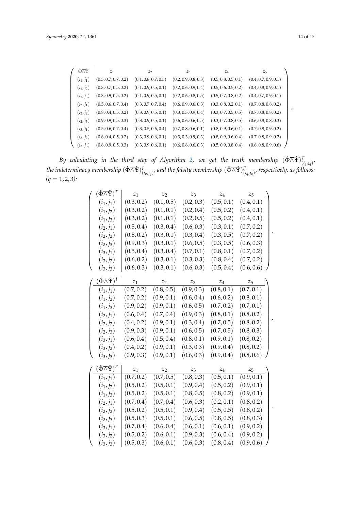| ∲⊼Ŷ          | $z_1$                | $z_2$                | $z_3$                | $z_4$                | $z_{5}$              |
|--------------|----------------------|----------------------|----------------------|----------------------|----------------------|
| $(i_1, j_1)$ | (0.3, 0.7, 0.7, 0.2) | (0.1, 0.8, 0.7, 0.5) | (0.2, 0.9, 0.8, 0.3) | (0.5, 0.8, 0.5, 0.1) | (0.4, 0.7, 0.9, 0.1) |
| $(i_1, j_2)$ | (0.3, 0.7, 0.5, 0.2) | (0.1, 0.9, 0.5, 0.1) | (0.2, 0.6, 0.9, 0.4) | (0.5, 0.6, 0.5, 0.2) | (0.4, 0.8, 0.9, 0.1) |
| $(i_1, j_3)$ | (0.3, 0.9, 0.5, 0.2) | (0.1, 0.9, 0.5, 0.1) | (0.2, 0.6, 0.8, 0.5) | (0.5, 0.7, 0.8, 0.2) | (0.4, 0.7, 0.9, 0.1) |
| $(i_2, j_1)$ | (0.5, 0.6, 0.7, 0.4) | (0.3, 0.7, 0.7, 0.4) | (0.6, 0.9, 0.6, 0.3) | (0.3, 0.8, 0.2, 0.1) | (0.7, 0.8, 0.8, 0.2) |
| $(i_2, i_2)$ | (0.8, 0.4, 0.5, 0.2) | (0.3, 0.9, 0.5, 0.1) | (0.3, 0.3, 0.9, 0.4) | (0.3, 0.7, 0.5, 0.5) | (0.7, 0.8, 0.8, 0.2) |
| $(i_2, j_3)$ | (0.9, 0.9, 0.5, 0.3) | (0.3, 0.9, 0.5, 0.1) | (0.6, 0.6, 0.6, 0.5) | (0.3, 0.7, 0.8, 0.5) | (0.6, 0.8, 0.8, 0.3) |
| $(i_3, j_1)$ | (0.5, 0.6, 0.7, 0.4) | (0.3, 0.5, 0.6, 0.4) | (0.7, 0.8, 0.6, 0.1) | (0.8, 0.9, 0.6, 0.1) | (0.7, 0.8, 0.9, 0.2) |
| $(i_3, i_2)$ | (0.6, 0.4, 0.5, 0.2) | (0.3, 0.9, 0.6, 0.1) | (0.3, 0.3, 0.9, 0.3) | (0.8, 0.9, 0.6, 0.4) | (0.7, 0.8, 0.9, 0.2) |
| $(i_3, j_3)$ | (0.6, 0.9, 0.5, 0.3) | (0.3, 0.9, 0.6, 0.1) | (0.6, 0.6, 0.6, 0.3) | (0.5, 0.9, 0.8, 0.4) | (0.6, 0.8, 0.9, 0.6) |

 $By$  calculating in the third step of Algorithm [2,](#page-11-0) we get the truth membership  $(\hat{\Phi} \overline{\wedge} \hat{\Psi})^T_{(i_q,j_q)}$ , the indeterminacy membership  $(\hat\Phi\overline\wedge \hat\Psi)^I_{(i_q,j_q)}$ , and the falsity membership  $(\hat\Phi\overline\wedge \hat\Psi)^F_{(i_q,j_q)}$ , respectively, as follows: *(q* = 1, 2, 3*):*

| $(\hat{\Phi} \overline\wedge \hat{\Psi})^T$ | $\mathfrak{z}_1$ | $\mathbb{Z}_2$ | $z_3$      | $z_4$          | $z_{5}$            |
|---------------------------------------------|------------------|----------------|------------|----------------|--------------------|
| $(i_1, j_1)$                                | (0.3, 0.2)       | (0.1, 0.5)     | (0.2, 0.3) | (0.5, 0.1)     | (0.4, 0.1)         |
| $(i_1, j_2)$                                | (0.3, 0.2)       | (0.1, 0.1)     | (0.2, 0.4) | (0.5, 0.2)     | (0.4, 0.1)         |
| $(i_1, j_3)$                                | (0.3, 0.2)       | (0.1, 0.1)     | (0.2, 0.5) | (0.5, 0.2)     | (0.4, 0.1)         |
| $(i_2, j_1)$                                | (0.5, 0.4)       | (0.3, 0.4)     | (0.6, 0.3) | (0.3, 0.1)     | (0.7, 0.2)         |
| $(i_2, j_2)$                                | (0.8, 0.2)       | (0.3, 0.1)     | (0.3, 0.4) | (0.3, 0.5)     | (0.7, 0.2)         |
| $(i_2, j_3)$                                | (0.9, 0.3)       | (0.3, 0.1)     | (0.6, 0.5) | (0.3, 0.5)     | (0.6, 0.3)         |
| $(i_3, j_1)$                                | (0.5, 0.4)       | (0.3, 0.4)     | (0.7, 0.1) | (0.8, 0.1)     | (0.7, 0.2)         |
| $(i_3, j_2)$                                | (0.6, 0.2)       | (0.3, 0.1)     | (0.3, 0.3) | (0.8, 0.4)     | (0.7, 0.2)         |
| $(i_3, j_3)$                                | (0.6, 0.3)       | (0.3, 0.1)     | (0.6, 0.3) | (0.5, 0.4)     | (0.6, 0.6)         |
| $(\hat{\Phi} \overline\wedge \hat{\Psi})^I$ | $z_1$            | $z_2$          | $z_3$      | $\mathbb{Z}_4$ | $\boldsymbol{z}_5$ |
| $(i_1, j_1)$                                | (0.7, 0.2)       | (0.8, 0.5)     | (0.9, 0.3) | (0.8, 0.1)     | (0.7, 0.1)         |
| $(i_1, j_2)$                                | (0.7, 0.2)       | (0.9, 0.1)     | (0.6, 0.4) | (0.6, 0.2)     | (0.8, 0.1)         |
| $(i_1, j_3)$                                | (0.9, 0.2)       | (0.9, 0.1)     | (0.6, 0.5) | (0.7, 0.2)     | (0.7, 0.1)         |
| $(i_2, j_1)$                                | (0.6, 0.4)       | (0.7, 0.4)     | (0.9, 0.3) | (0.8, 0.1)     | (0.8, 0.2)         |
| $(i_2, j_2)$                                | (0.4, 0.2)       | (0.9, 0.1)     | (0.3, 0.4) | (0.7, 0.5)     | (0.8, 0.2)         |
| $(i_2, j_3)$                                | (0.9, 0.3)       | (0.9, 0.1)     | (0.6, 0.5) | (0.7, 0.5)     | (0.8, 0.3)         |
| $(i_3, j_1)$                                | (0.6, 0.4)       | (0.5, 0.4)     | (0.8, 0.1) | (0.9, 0.1)     | (0.8, 0.2)         |
| $(i_3, j_2)$                                | (0.4, 0.2)       | (0.9, 0.1)     | (0.3, 0.3) | (0.9, 0.4)     | (0.8, 0.2)         |
| $(i_3, j_3)$                                | (0.9, 0.3)       | (0.9, 0.1)     | (0.6, 0.3) | (0.9, 0.4)     | (0.8, 0.6)         |
| $(\hat\Phi \overline\wedge \hat \Psi)^F$    | $z_1$            | $z_2$          | $z_3$      | $z_4$          | $z_{5}$            |
| $(i_1, j_1)$                                | (0.7, 0.2)       | (0.7, 0.5)     | (0.8, 0.3) | (0.5, 0.1)     | (0.9, 0.1)         |
| $(i_1, j_2)$                                | (0.5, 0.2)       | (0.5, 0.1)     | (0.9, 0.4) | (0.5, 0.2)     | (0.9, 0.1)         |
| $(i_1, j_3)$                                | (0.5, 0.2)       | (0.5, 0.1)     | (0.8, 0.5) | (0.8, 0.2)     | (0.9, 0.1)         |
| $(i_2, j_1)$                                | (0.7, 0.4)       | (0.7, 0.4)     | (0.6, 0.3) | (0.2, 0.1)     | (0.8, 0.2)         |
| $(i_2, j_2)$                                | (0.5, 0.2)       | (0.5, 0.1)     | (0.9, 0.4) | (0.5, 0.5)     | (0.8, 0.2)         |
| $(i_2, j_3)$                                | (0.5, 0.3)       | (0.5, 0.1)     | (0.6, 0.5) | (0.8, 0.5)     | (0.8, 0.3)         |
| $(i_3, j_1)$                                | (0.7, 0.4)       | (0.6, 0.4)     | (0.6, 0.1) | (0.6, 0.1)     | (0.9, 0.2)         |
| $(i_3, j_2)$                                | (0.5, 0.2)       | (0.6, 0.1)     | (0.9, 0.3) | (0.6, 0.4)     | (0.9, 0.2)         |
| $(i_3, j_3)$                                | (0.5, 0.3)       | (0.6, 0.1)     | (0.6, 0.3) | (0.8, 0.4)     | (0.9, 0.6)         |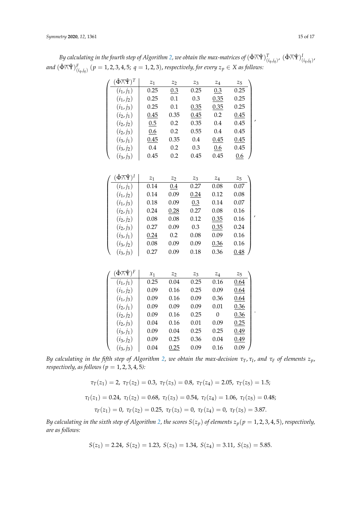$B$ y calculating in the fourth step of Algorithm [2,](#page-11-0) we obtain the max-matrices of  $(\hat\Phi\bigwedge\hat\Psi)^T_{(i_q,j_q)}$ ,  $(\hat\Phi\bigwedge\hat\Psi)^I_{(i_q,j_q)}$ ,  $and\ (\hat\Phi\bigwedge\hat\Psi\big)^F_{(i_q,j_q)}\ (p=1,2,3,4,5;\ q=1,2,3),$  respectively, for every  $z_p\in X$  as follows:

| $(\hat{\Phi} \overline\wedge \hat{\Psi})^T$ | $z_1$ | $z_2$ | $z_3$ | $\mathbb{Z}_4$ | $\mathbb{Z}_5$     |
|---------------------------------------------|-------|-------|-------|----------------|--------------------|
| $(i_1, j_1)$                                | 0.25  | 0.3   | 0.25  | 0.3            | 0.25               |
| $(i_1, j_2)$                                | 0.25  | 0.1   | 0.3   | 0.35           | 0.25               |
| $(i_1, j_3)$                                | 0.25  | 0.1   | 0.35  | 0.35           | 0.25               |
| $(i_2, j_1)$                                | 0.45  | 0.35  | 0.45  | 0.2            | 0.45               |
| $(i_2, j_2)$                                | 0.5   | 0.2   | 0.35  | 0.4            | 0.45               |
| $(i_2, j_3)$                                | 0.6   | 0.2   | 0.55  | 0.4            | 0.45               |
| $(i_3, j_1)$                                | 0.45  | 0.35  | 0.4   | 0.45           | 0.45               |
| $(i_3, j_2)$                                | 0.4   | 0.2   | 0.3   | 0.6            | 0.45               |
| $(i_3, j_3)$                                | 0.45  | 0.2   | 0.45  | 0.45           | 0.6                |
|                                             |       |       |       |                |                    |
| $(\hat\Phi \overline\wedge \hat\Psi)^I$     | $z_1$ | $z_2$ | $z_3$ | $z_4$          | $\boldsymbol{z}_5$ |
| $(i_1, j_1)$                                | 0.14  | 0.4   | 0.27  | 0.08           | 0.07               |
| $(i_1, j_2)$                                | 0.14  | 0.09  | 0.24  | 0.12           | 0.08               |
| $(i_1, j_3)$                                | 0.18  | 0.09  | 0.3   | 0.14           | 0.07               |
| $(i_2, j_1)$                                | 0.24  | 0.28  | 0.27  | 0.08           | 0.16               |
| $(i_2, j_2)$                                | 0.08  | 0.08  | 0.12  | 0.35           | 0.16               |
| $(i_2, j_3)$                                | 0.27  | 0.09  | 0.3   | 0.35           | 0.24               |
| $(i_3, j_1)$                                | 0.24  | 0.2   | 0.08  | 0.09           | 0.16               |
| $(i_3, j_2)$                                | 0.08  | 0.09  | 0.09  | 0.36           | 0.16               |
| $(i_3, j_3)$                                | 0.27  | 0.09  | 0.18  | 0.36           | 0.48               |
|                                             |       |       |       |                |                    |
|                                             |       |       |       |                |                    |
| $(\hat\Phi \overline\wedge \hat\Psi)^F$     | $x_1$ | $z_2$ | $z_3$ | $\mathbb{Z}_4$ | $z_{5}$            |
| $(i_1, j_1)$                                | 0.25  | 0.04  | 0.25  | 0.16           | 0.64               |
| $(i_1, j_2)$                                | 0.09  | 0.16  | 0.25  | 0.09           | 0.64               |
| $(i_1, j_3)$                                | 0.09  | 0.16  | 0.09  | 0.36           | 0.64               |
| $(i_2, j_1)$                                | 0.09  | 0.09  | 0.09  | 0.01           | 0.36               |
| $(i_2, j_2)$                                | 0.09  | 0.16  | 0.25  | $\overline{0}$ | 0.36               |
| $(i_2, j_3)$                                | 0.04  | 0.16  | 0.01  | 0.09           | 0.25               |
| $(i_3, j_1)$                                | 0.09  | 0.04  | 0.25  | 0.25           | 0.49               |
| $(i_3, j_2)$                                | 0.09  | 0.25  | 0.36  | 0.04           | 0.49               |
| $(i_3, j_3)$                                | 0.04  | 0.25  | 0.09  | 0.16           | 0.09               |

*By calculating in the fifth step of Algorithm [2,](#page-11-0) we obtain the max-decision τT*, *τ<sup>I</sup>* , *and τ<sup>F</sup> of elements zp*, *respectively, as follows (p* = 1, 2, 3, 4, 5*):*

$$
\tau_T(z_1) = 2, \ \tau_T(z_2) = 0.3, \ \tau_T(z_3) = 0.8, \ \tau_T(z_4) = 2.05, \ \tau_T(z_5) = 1.5;
$$
  

$$
\tau_I(z_1) = 0.24, \ \tau_I(z_2) = 0.68, \ \tau_I(z_3) = 0.54, \ \tau_I(z_4) = 1.06, \ \tau_I(z_5) = 0.48;
$$
  

$$
\tau_F(z_1) = 0, \ \tau_F(z_2) = 0.25, \ \tau_F(z_3) = 0, \ \tau_F(z_4) = 0, \ \tau_F(z_5) = 3.87.
$$

*By calculating in the sixth step of Algorithm [2,](#page-11-0) the scores*  $S(z_p)$  *of elements*  $z_p$ ( $p = 1, 2, 3, 4, 5$ ), *respectively*, *are as follows:*

$$
S(z_1) = 2.24
$$
,  $S(z_2) = 1.23$ ,  $S(z_3) = 1.34$ ,  $S(z_4) = 3.11$ ,  $S(z_5) = 5.85$ .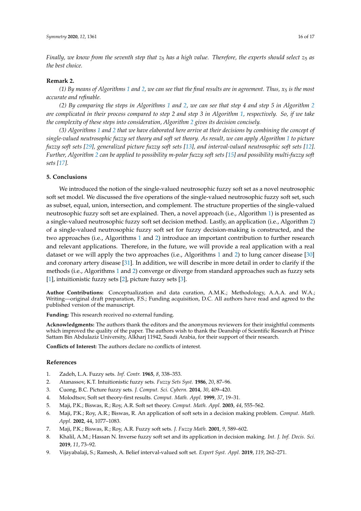*Finally, we know from the seventh step that*  $z_5$  *has a high value. Therefore, the experts should select*  $z_5$  *as the best choice.*

#### **Remark 2.**

*(1) By means of Algorithms [1](#page-9-0) and [2,](#page-11-0) we can see that the final results are in agreement. Thus, x*<sup>5</sup> *is the most accurate and refinable.*

*(2) By comparing the steps in Algorithms [1](#page-9-0) and [2,](#page-11-0) we can see that step 4 and step 5 in Algorithm [2](#page-11-0) are complicated in their process compared to step 2 and step 3 in Algorithm [1,](#page-9-0) respectively. So, if we take the complexity of these steps into consideration, Algorithm [2](#page-11-0) gives its decision concisely.*

*(3) Algorithms [1](#page-9-0) and [2](#page-11-0) that we have elaborated here arrive at their decisions by combining the concept of single-valued neutrosophic fuzzy set theory and soft set theory. As result, we can apply Algorithm [1](#page-9-0) to picture fuzzy soft sets [\[29\]](#page-16-19), generalized picture fuzzy soft sets [\[13\]](#page-16-3), and interval-valued neutrosophic soft sets [\[12\]](#page-16-2). Further, Algorithm [2](#page-11-0) can be applied to possibility m-polar fuzzy soft sets [\[15\]](#page-16-5) and possibility multi-fuzzy soft sets [\[17\]](#page-16-7).*

# <span id="page-15-9"></span>**5. Conclusions**

We introduced the notion of the single-valued neutrosophic fuzzy soft set as a novel neutrosophic soft set model. We discussed the five operations of the single-valued neutrosophic fuzzy soft set, such as subset, equal, union, intersection, and complement. The structure properties of the single-valued neutrosophic fuzzy soft set are explained. Then, a novel approach (i.e., Algorithm [1\)](#page-9-0) is presented as a single-valued neutrosophic fuzzy soft set decision method. Lastly, an application (i.e., Algorithm [2\)](#page-11-0) of a single-valued neutrosophic fuzzy soft set for fuzzy decision-making is constructed, and the two approaches (i.e., Algorithms [1](#page-9-0) and [2\)](#page-11-0) introduce an important contribution to further research and relevant applications. Therefore, in the future, we will provide a real application with a real dataset or we will apply the two approaches (i.e., Algorithms [1](#page-9-0) and [2\)](#page-11-0) to lung cancer disease [\[30\]](#page-16-20) and coronary artery disease [\[31\]](#page-16-21). In addition, we will describe in more detail in order to clarify if the methods (i.e., Algorithms [1](#page-9-0) and [2\)](#page-11-0) converge or diverge from standard approaches such as fuzzy sets [\[1\]](#page-15-0), intuitionistic fuzzy sets [\[2\]](#page-15-1), picture fuzzy sets [\[3\]](#page-15-2).

**Author Contributions:** Conceptualization and data curation, A.M.K.; Methodology, A.A.A. and W.A.; Writing—original draft preparation, F.S.; Funding acquisition, D.C. All authors have read and agreed to the published version of the manuscript.

**Funding:** This research received no external funding.

**Acknowledgments:** The authors thank the editors and the anonymous reviewers for their insightful comments which improved the quality of the paper. The authors wish to thank the Deanship of Scientific Research at Prince Sattam Bin Abdulaziz University, Alkharj 11942, Saudi Arabia, for their support of their research.

**Conflicts of Interest:** The authors declare no conflicts of interest.

## **References**

- <span id="page-15-0"></span>1. Zadeh, L.A. Fuzzy sets. *Inf. Contr.* **1965**, *8*, 338–353.
- <span id="page-15-1"></span>2. Atanassov, K.T. Intuitionistic fuzzy sets. *Fuzzy Sets Syst.* **1986**, *20*, 87–96.
- <span id="page-15-2"></span>3. Cuong, B.C. Picture fuzzy sets. *J. Comput. Sci. Cybern.* **2014**, *30*, 409–420.
- <span id="page-15-3"></span>4. Molodtsov, Soft set theory-first results. *Comput. Math. Appl.* **1999**, *37*, 19–31.
- <span id="page-15-4"></span>5. Maji, P.K.; Biswas, R.; Roy, A.R. Soft set theory. *Comput. Math. Appl.* **2003**, *44*, 555–562.
- <span id="page-15-5"></span>6. Maji, P.K.; Roy, A.R.; Biswas, R. An application of soft sets in a decision making problem. *Comput. Math. Appl.* **2002**, 44, 1077–1083.
- <span id="page-15-6"></span>7. Maji, P.K.; Biswas, R.; Roy, A.R. Fuzzy soft sets. *J. Fuzzy Math.* **2001**, *9*, 589–602.
- <span id="page-15-7"></span>8. Khalil, A.M.; Hassan N. Inverse fuzzy soft set and its application in decision making. *Int. J. Inf. Decis. Sci.* **2019**, *11*, 73–92.
- <span id="page-15-8"></span>9. Vijayabalaji, S.; Ramesh, A. Belief interval-valued soft set. *Expert Syst. Appl.* **2019**, *119*, 262–271.